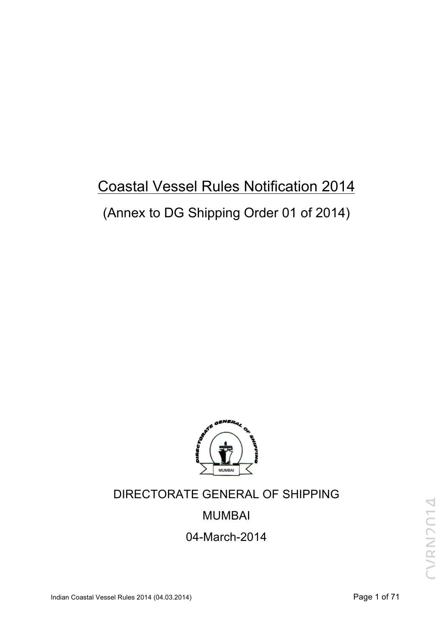# Coastal Vessel Rules Notification 2014 (Annex to DG Shipping Order 01 of 2014)



# DIRECTORATE GENERAL OF SHIPPING

# MUMBAI

04-March-2014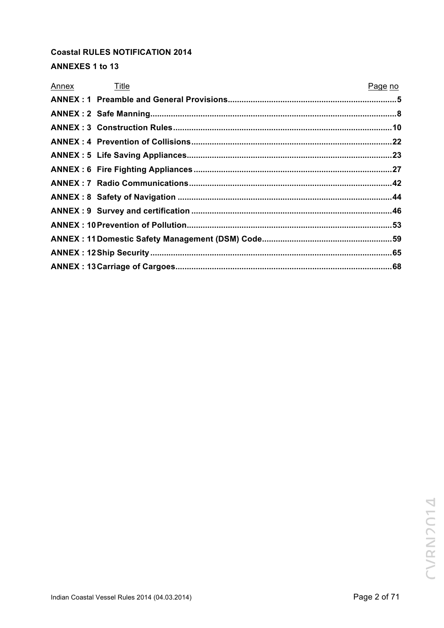# **Coastal RULES NOTIFICATION 2014**

# **ANNEXES 1 to 13**

| Annex Title | Page no |
|-------------|---------|
|             |         |
|             |         |
|             |         |
|             |         |
|             |         |
|             |         |
|             |         |
|             |         |
|             |         |
|             |         |
|             |         |
|             |         |
|             |         |
|             |         |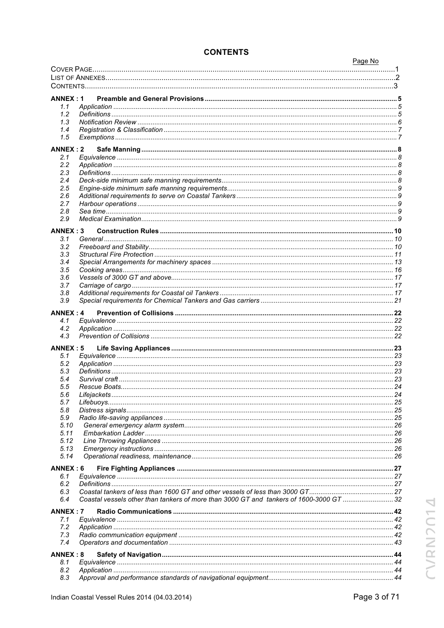|                 |                                                                                         | Page No |
|-----------------|-----------------------------------------------------------------------------------------|---------|
|                 |                                                                                         |         |
|                 |                                                                                         |         |
|                 |                                                                                         |         |
| <b>ANNEX: 1</b> |                                                                                         |         |
| 1.1             |                                                                                         |         |
| 1.2             |                                                                                         |         |
| 1.3             |                                                                                         |         |
| 1.4             |                                                                                         |         |
| 1.5             |                                                                                         |         |
|                 |                                                                                         |         |
| ANNEX: 2        |                                                                                         |         |
| 2.1             |                                                                                         |         |
| 2.2             |                                                                                         |         |
| 2.3<br>2.4      |                                                                                         |         |
| 2.5             |                                                                                         |         |
| 2.6             |                                                                                         |         |
| 2.7             |                                                                                         |         |
| 2.8             |                                                                                         |         |
| 2.9             |                                                                                         |         |
|                 |                                                                                         |         |
| <b>ANNEX: 3</b> |                                                                                         |         |
| 3.1             |                                                                                         |         |
| 3.2             |                                                                                         |         |
| 3.3<br>3.4      |                                                                                         |         |
| 3.5             |                                                                                         |         |
| 3.6             |                                                                                         |         |
| 3.7             |                                                                                         |         |
| 3.8             |                                                                                         |         |
| 3.9             |                                                                                         |         |
|                 |                                                                                         |         |
| <b>ANNEX: 4</b> |                                                                                         |         |
| 4.1             |                                                                                         |         |
| 4.2<br>4.3      |                                                                                         |         |
|                 |                                                                                         |         |
| <b>ANNEX: 5</b> |                                                                                         |         |
| 5.1             |                                                                                         |         |
| 5.2             |                                                                                         |         |
| 5.3             |                                                                                         |         |
| 5.4             |                                                                                         |         |
| 5.5             |                                                                                         |         |
| 5.6             |                                                                                         |         |
| 5.7             |                                                                                         |         |
| 5.8<br>5.9      |                                                                                         |         |
| 5.10            |                                                                                         |         |
| 5.11            |                                                                                         |         |
| 5.12            |                                                                                         |         |
| 5.13            |                                                                                         |         |
| 5.14            |                                                                                         |         |
|                 |                                                                                         |         |
| ANNEX: 6        |                                                                                         |         |
| 6.1<br>6.2      |                                                                                         |         |
| 6.3             |                                                                                         |         |
| 6.4             | Coastal vessels other than tankers of more than 3000 GT and tankers of 1600-3000 GT  32 |         |
|                 |                                                                                         |         |
| ANNEX: 7        |                                                                                         |         |
| 7.1             |                                                                                         |         |
| 7.2             |                                                                                         |         |
| 7.3             |                                                                                         |         |
| 7.4             |                                                                                         |         |
| ANNEX: 8        |                                                                                         |         |
| 8.1             |                                                                                         |         |
| 8.2             |                                                                                         |         |
| 8.3             |                                                                                         |         |

# **CONTENTS**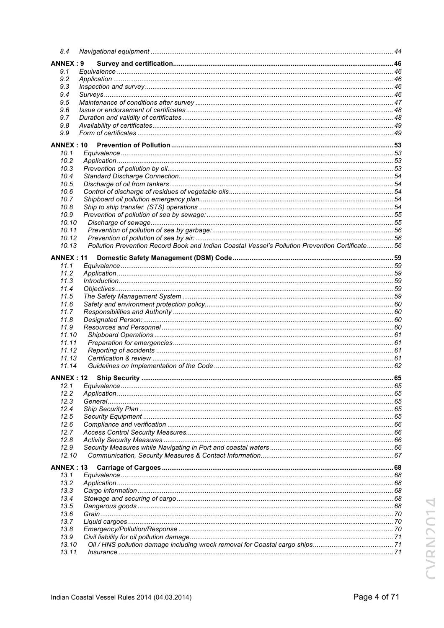| 8.4                      |                                                                                                  |  |
|--------------------------|--------------------------------------------------------------------------------------------------|--|
| ANNEX: 9                 |                                                                                                  |  |
| 9.1                      |                                                                                                  |  |
| 9.2                      |                                                                                                  |  |
| 9.3                      |                                                                                                  |  |
| 9.4                      |                                                                                                  |  |
| 9.5                      |                                                                                                  |  |
| 9.6<br>9.7               |                                                                                                  |  |
| 9.8                      |                                                                                                  |  |
| 9.9                      |                                                                                                  |  |
|                          |                                                                                                  |  |
| <b>ANNEX: 10</b><br>10.1 |                                                                                                  |  |
| 10.2                     |                                                                                                  |  |
| 10.3                     |                                                                                                  |  |
| 10.4                     |                                                                                                  |  |
| 10.5                     |                                                                                                  |  |
| 10.6                     |                                                                                                  |  |
| 10.7                     |                                                                                                  |  |
| 10.8                     |                                                                                                  |  |
| 10.9                     |                                                                                                  |  |
| 10.10                    |                                                                                                  |  |
| 10.11                    |                                                                                                  |  |
| 10.12                    |                                                                                                  |  |
| 10.13                    | Pollution Prevention Record Book and Indian Coastal Vessel's Pollution Prevention Certificate 56 |  |
| <b>ANNEX : 11</b>        |                                                                                                  |  |
| 11.1                     |                                                                                                  |  |
| 11.2                     |                                                                                                  |  |
| 11.3                     |                                                                                                  |  |
| 11.4                     |                                                                                                  |  |
| 11.5                     |                                                                                                  |  |
| 11.6                     |                                                                                                  |  |
| 11.7                     |                                                                                                  |  |
| 11.8<br>11.9             |                                                                                                  |  |
| 11.10                    |                                                                                                  |  |
| 11.11                    |                                                                                                  |  |
| 11.12                    |                                                                                                  |  |
| 11.13                    |                                                                                                  |  |
| 11.14                    |                                                                                                  |  |
| <b>ANNEX: 12</b>         |                                                                                                  |  |
| 12.1                     |                                                                                                  |  |
| 12.2                     |                                                                                                  |  |
| 12.3                     |                                                                                                  |  |
| 12.4                     |                                                                                                  |  |
| 12.5                     |                                                                                                  |  |
| 12.6                     |                                                                                                  |  |
| 12.7                     |                                                                                                  |  |
| 12.8                     |                                                                                                  |  |
| 12.9<br>12.10            |                                                                                                  |  |
|                          |                                                                                                  |  |
| <b>ANNEX: 13</b>         |                                                                                                  |  |
| 13.1                     |                                                                                                  |  |
| 13.2                     |                                                                                                  |  |
| 13.3                     |                                                                                                  |  |
| 13.4<br>13.5             |                                                                                                  |  |
| 13.6                     |                                                                                                  |  |
| 13.7                     |                                                                                                  |  |
| 13.8                     |                                                                                                  |  |
| 13.9                     |                                                                                                  |  |
| 13.10                    |                                                                                                  |  |
| 13.11                    |                                                                                                  |  |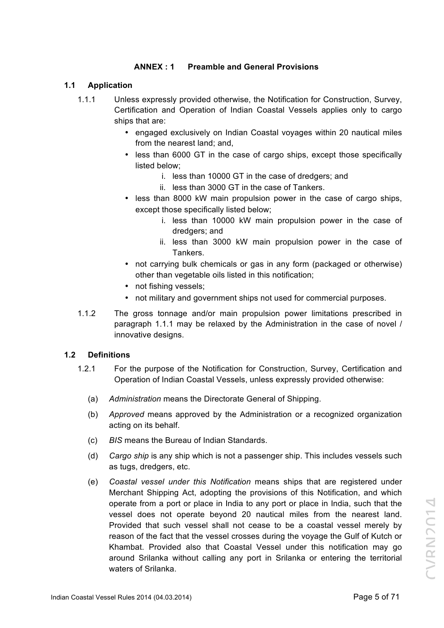# **ANNEX : 1 Preamble and General Provisions**

#### **1.1 Application**

- 1.1.1 Unless expressly provided otherwise, the Notification for Construction, Survey, Certification and Operation of Indian Coastal Vessels applies only to cargo ships that are:
	- engaged exclusively on Indian Coastal voyages within 20 nautical miles from the nearest land; and,
	- less than 6000 GT in the case of cargo ships, except those specifically listed below;
		- i. less than 10000 GT in the case of dredgers; and
		- ii. less than 3000 GT in the case of Tankers.
	- less than 8000 kW main propulsion power in the case of cargo ships, except those specifically listed below;
		- i. less than 10000 kW main propulsion power in the case of dredgers; and
		- ii. less than 3000 kW main propulsion power in the case of Tankers.
	- not carrying bulk chemicals or gas in any form (packaged or otherwise) other than vegetable oils listed in this notification;
	- not fishing vessels;
	- not military and government ships not used for commercial purposes.
- 1.1.2 The gross tonnage and/or main propulsion power limitations prescribed in paragraph 1.1.1 may be relaxed by the Administration in the case of novel / innovative designs.

# **1.2 Definitions**

- 1.2.1 For the purpose of the Notification for Construction, Survey, Certification and Operation of Indian Coastal Vessels, unless expressly provided otherwise:
	- (a) *Administration* means the Directorate General of Shipping.
	- (b) *Approved* means approved by the Administration or a recognized organization acting on its behalf.
	- (c) *BIS* means the Bureau of Indian Standards.
	- (d) *Cargo ship* is any ship which is not a passenger ship. This includes vessels such as tugs, dredgers, etc.
	- (e) *Coastal vessel under this Notification* means ships that are registered under Merchant Shipping Act, adopting the provisions of this Notification, and which operate from a port or place in India to any port or place in India, such that the vessel does not operate beyond 20 nautical miles from the nearest land. Provided that such vessel shall not cease to be a coastal vessel merely by reason of the fact that the vessel crosses during the voyage the Gulf of Kutch or Khambat. Provided also that Coastal Vessel under this notification may go around Srilanka without calling any port in Srilanka or entering the territorial waters of Srilanka.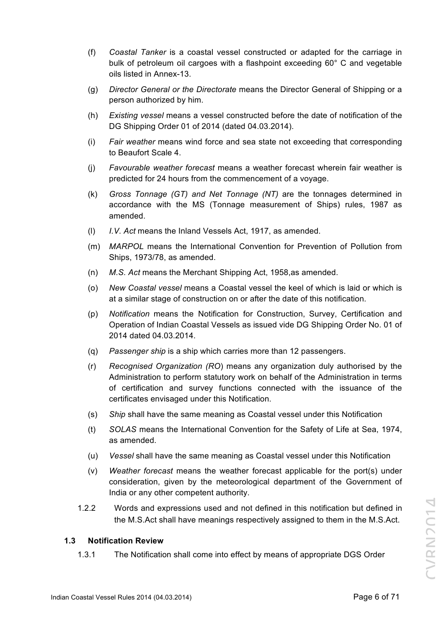- (f) *Coastal Tanker* is a coastal vessel constructed or adapted for the carriage in bulk of petroleum oil cargoes with a flashpoint exceeding 60° C and vegetable oils listed in Annex-13.
- (g) *Director General or the Directorate* means the Director General of Shipping or a person authorized by him.
- (h) *Existing vessel* means a vessel constructed before the date of notification of the DG Shipping Order 01 of 2014 (dated 04.03.2014).
- (i) *Fair weather* means wind force and sea state not exceeding that corresponding to Beaufort Scale 4.
- (j) *Favourable weather forecast* means a weather forecast wherein fair weather is predicted for 24 hours from the commencement of a voyage.
- (k) *Gross Tonnage (GT) and Net Tonnage (NT)* are the tonnages determined in accordance with the MS (Tonnage measurement of Ships) rules, 1987 as amended.
- (l) *I.V. Act* means the Inland Vessels Act, 1917, as amended.
- (m) *MARPOL* means the International Convention for Prevention of Pollution from Ships, 1973/78, as amended.
- (n) *M.S. Act* means the Merchant Shipping Act, 1958,as amended.
- (o) *New Coastal vessel* means a Coastal vessel the keel of which is laid or which is at a similar stage of construction on or after the date of this notification.
- (p) *Notification* means the Notification for Construction, Survey, Certification and Operation of Indian Coastal Vessels as issued vide DG Shipping Order No. 01 of 2014 dated 04.03.2014.
- (q) *Passenger ship* is a ship which carries more than 12 passengers.
- (r) *Recognised Organization (RO*) means any organization duly authorised by the Administration to perform statutory work on behalf of the Administration in terms of certification and survey functions connected with the issuance of the certificates envisaged under this Notification.
- (s) *Ship* shall have the same meaning as Coastal vessel under this Notification
- (t) *SOLAS* means the International Convention for the Safety of Life at Sea, 1974, as amended.
- (u) *Vessel* shall have the same meaning as Coastal vessel under this Notification
- (v) *Weather forecast* means the weather forecast applicable for the port(s) under consideration, given by the meteorological department of the Government of India or any other competent authority.
- 1.2.2 Words and expressions used and not defined in this notification but defined in the M.S.Act shall have meanings respectively assigned to them in the M.S.Act.

# **1.3 Notification Review**

1.3.1 The Notification shall come into effect by means of appropriate DGS Order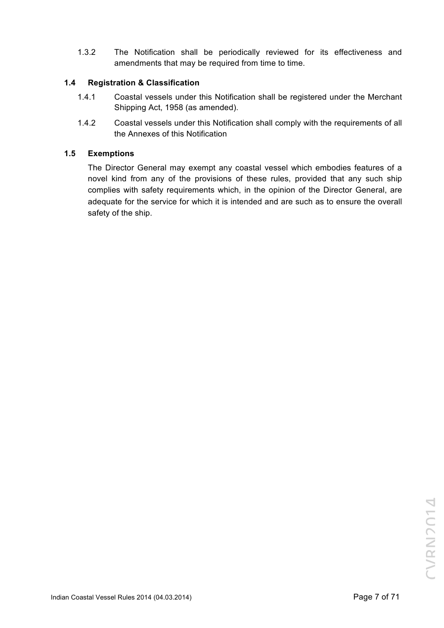1.3.2 The Notification shall be periodically reviewed for its effectiveness and amendments that may be required from time to time.

# **1.4 Registration & Classification**

- 1.4.1 Coastal vessels under this Notification shall be registered under the Merchant Shipping Act, 1958 (as amended).
- 1.4.2 Coastal vessels under this Notification shall comply with the requirements of all the Annexes of this Notification

# **1.5 Exemptions**

The Director General may exempt any coastal vessel which embodies features of a novel kind from any of the provisions of these rules, provided that any such ship complies with safety requirements which, in the opinion of the Director General, are adequate for the service for which it is intended and are such as to ensure the overall safety of the ship.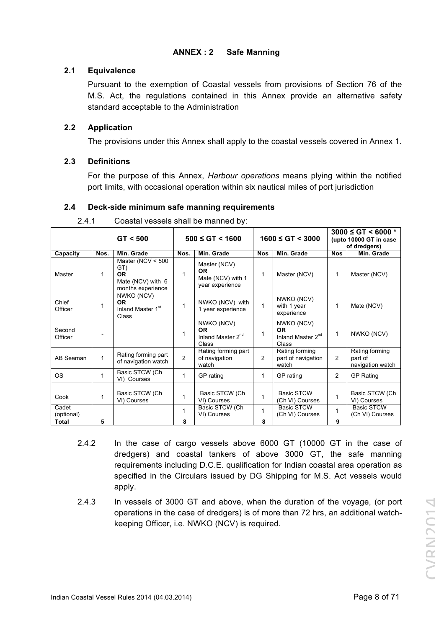# **ANNEX : 2 Safe Manning**

# **2.1 Equivalence**

Pursuant to the exemption of Coastal vessels from provisions of Section 76 of the M.S. Act, the regulations contained in this Annex provide an alternative safety standard acceptable to the Administration

# **2.2 Application**

The provisions under this Annex shall apply to the coastal vessels covered in Annex 1.

# **2.3 Definitions**

For the purpose of this Annex, *Harbour operations* means plying within the notified port limits, with occasional operation within six nautical miles of port jurisdiction

# **2.4 Deck-side minimum safe manning requirements**

|                     |      | GT < 500                                                                          | $500 \le G$ T < 1600 |                                                                   | $1600 \le GT \le 3000$ |                                                            | $3000 \le G$ T < 6000 *<br>(upto 10000 GT in case<br>of dredgers) |                                               |
|---------------------|------|-----------------------------------------------------------------------------------|----------------------|-------------------------------------------------------------------|------------------------|------------------------------------------------------------|-------------------------------------------------------------------|-----------------------------------------------|
| Capacity            | Nos. | Min. Grade                                                                        | Nos.                 | Min. Grade                                                        | <b>Nos</b>             | Min. Grade                                                 | <b>Nos</b>                                                        | Min. Grade                                    |
| Master              | 1    | Master (NCV $<$ 500<br>GT)<br><b>OR</b><br>Mate (NCV) with 6<br>months experience | 1                    | Master (NCV)<br><b>OR</b><br>Mate (NCV) with 1<br>year experience | 1                      | Master (NCV)                                               | 1                                                                 | Master (NCV)                                  |
| Chief<br>Officer    | 1    | NWKO (NCV)<br><b>OR</b><br>Inland Master 1 <sup>st</sup><br>Class                 | 1                    | NWKO (NCV) with<br>1 year experience                              | 1                      | NWKO (NCV)<br>with 1 year<br>experience                    | 1                                                                 | Mate (NCV)                                    |
| Second<br>Officer   |      |                                                                                   | 1                    | NWKO (NCV)<br><b>OR</b><br>Inland Master 2 <sup>nd</sup><br>Class | 1                      | NWKO (NCV)<br>0R<br>Inland Master 2 <sup>nd</sup><br>Class | 1                                                                 | NWKO (NCV)                                    |
| AB Seaman           | 1    | Rating forming part<br>of navigation watch                                        | $\overline{2}$       | Rating forming part<br>of navigation<br>watch                     | 2                      | Rating forming<br>part of navigation<br>watch              | 2                                                                 | Rating forming<br>part of<br>navigation watch |
| <b>OS</b>           | 1    | Basic STCW (Ch<br>VI) Courses                                                     | 1                    | GP rating                                                         | 1                      | GP rating                                                  | 2                                                                 | <b>GP Rating</b>                              |
|                     |      |                                                                                   |                      |                                                                   |                        |                                                            |                                                                   |                                               |
| Cook                | 1    | Basic STCW (Ch<br>VI) Courses                                                     | 1                    | Basic STCW (Ch<br>VI) Courses                                     | 1                      | <b>Basic STCW</b><br>(Ch VI) Courses                       | 1                                                                 | Basic STCW (Ch<br>VI) Courses                 |
| Cadet<br>(optional) |      |                                                                                   | 1                    | Basic STCW (Ch<br>VI) Courses                                     | 1                      | <b>Basic STCW</b><br>(Ch VI) Courses                       |                                                                   | <b>Basic STCW</b><br>(Ch VI) Courses          |
| <b>Total</b>        | 5    |                                                                                   | 8                    |                                                                   | 8                      |                                                            | 9                                                                 |                                               |

2.4.1 Coastal vessels shall be manned by:

- 2.4.2 In the case of cargo vessels above 6000 GT (10000 GT in the case of dredgers) and coastal tankers of above 3000 GT, the safe manning requirements including D.C.E. qualification for Indian coastal area operation as specified in the Circulars issued by DG Shipping for M.S. Act vessels would apply.
- 2.4.3 In vessels of 3000 GT and above, when the duration of the voyage, (or port operations in the case of dredgers) is of more than 72 hrs, an additional watchkeeping Officer, i.e. NWKO (NCV) is required.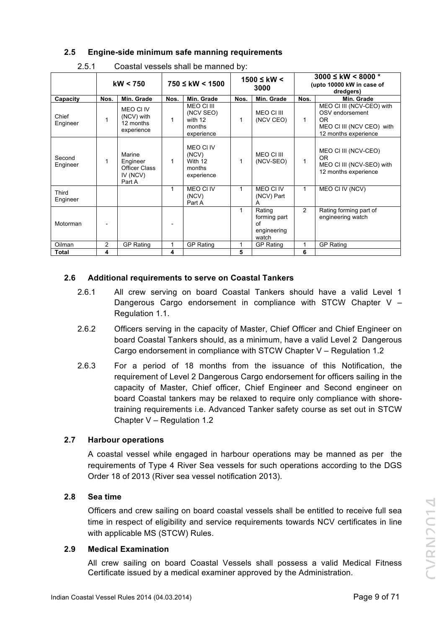# **2.5 Engine-side minimum safe manning requirements**

|                    | kW < 750 |                                                                  | $750 \leq$ kW < 1500 |                                                            | $1500$ ≤ kW <<br>3000 |                                                      | $3000 \leq \text{kW} < 8000$ *<br>(upto 10000 kW in case of<br>dredgers) |                                                                                                                |
|--------------------|----------|------------------------------------------------------------------|----------------------|------------------------------------------------------------|-----------------------|------------------------------------------------------|--------------------------------------------------------------------------|----------------------------------------------------------------------------------------------------------------|
| Capacity           | Nos.     | Min. Grade                                                       | Nos.                 | Min. Grade                                                 | Nos.                  | Min. Grade                                           | Nos.                                                                     | Min. Grade                                                                                                     |
| Chief<br>Engineer  | 1        | MEO CI IV<br>(NCV) with<br>12 months<br>experience               | 1                    | MEO CI III<br>(NCV SEO)<br>with 12<br>months<br>experience | 1                     | MEO CI III<br>(NCV CEO)                              | 1                                                                        | MEO CI III (NCV-CEO) with<br>OSV endorsement<br><b>OR</b><br>MEO CI III (NCV CEO) with<br>12 months experience |
| Second<br>Engineer |          | Marine<br>Engineer<br><b>Officer Class</b><br>IV (NCV)<br>Part A | 1                    | MEO CI IV<br>(NCV)<br>With 12<br>months<br>experience      |                       | MEO CI III<br>(NCV-SEO)                              | 1                                                                        | MEO CI III (NCV-CEO)<br><b>OR</b><br>MEO CI III (NCV-SEO) with<br>12 months experience                         |
| Third<br>Engineer  |          |                                                                  | 1                    | MEO CI IV<br>(NCV)<br>Part A                               | 1                     | <b>MEO CI IV</b><br>(NCV) Part                       | 1                                                                        | MEO CI IV (NCV)                                                                                                |
| Motorman           |          |                                                                  |                      |                                                            | 1                     | Rating<br>forming part<br>of<br>engineering<br>watch | $\overline{2}$                                                           | Rating forming part of<br>engineering watch                                                                    |
| Oilman             | 2        | <b>GP Rating</b>                                                 | 1                    | <b>GP Rating</b>                                           | 1                     | <b>GP Rating</b>                                     | 1                                                                        | <b>GP Rating</b>                                                                                               |
| <b>Total</b>       | 4        |                                                                  | 4                    |                                                            | 5                     |                                                      | 6                                                                        |                                                                                                                |

# **2.6 Additional requirements to serve on Coastal Tankers**

- 2.6.1 All crew serving on board Coastal Tankers should have a valid Level 1 Dangerous Cargo endorsement in compliance with STCW Chapter V – Regulation 1.1.
- 2.6.2 Officers serving in the capacity of Master, Chief Officer and Chief Engineer on board Coastal Tankers should, as a minimum, have a valid Level 2 Dangerous Cargo endorsement in compliance with STCW Chapter V – Regulation 1.2
- 2.6.3 For a period of 18 months from the issuance of this Notification, the requirement of Level 2 Dangerous Cargo endorsement for officers sailing in the capacity of Master, Chief officer, Chief Engineer and Second engineer on board Coastal tankers may be relaxed to require only compliance with shoretraining requirements i.e. Advanced Tanker safety course as set out in STCW Chapter V – Regulation 1.2

# **2.7 Harbour operations**

A coastal vessel while engaged in harbour operations may be manned as per the requirements of Type 4 River Sea vessels for such operations according to the DGS Order 18 of 2013 (River sea vessel notification 2013).

# **2.8 Sea time**

Officers and crew sailing on board coastal vessels shall be entitled to receive full sea time in respect of eligibility and service requirements towards NCV certificates in line with applicable MS (STCW) Rules.

# **2.9 Medical Examination**

All crew sailing on board Coastal Vessels shall possess a valid Medical Fitness Certificate issued by a medical examiner approved by the Administration.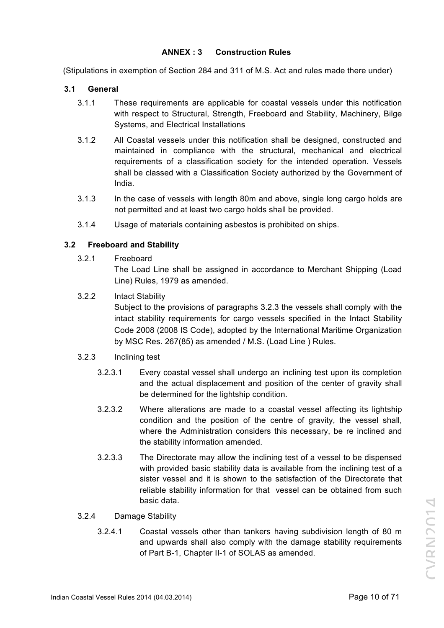# **ANNEX : 3 Construction Rules**

(Stipulations in exemption of Section 284 and 311 of M.S. Act and rules made there under)

#### **3.1 General**

- 3.1.1 These requirements are applicable for coastal vessels under this notification with respect to Structural, Strength, Freeboard and Stability, Machinery, Bilge Systems, and Electrical Installations
- 3.1.2 All Coastal vessels under this notification shall be designed, constructed and maintained in compliance with the structural, mechanical and electrical requirements of a classification society for the intended operation. Vessels shall be classed with a Classification Society authorized by the Government of India.
- 3.1.3 In the case of vessels with length 80m and above, single long cargo holds are not permitted and at least two cargo holds shall be provided.
- 3.1.4 Usage of materials containing asbestos is prohibited on ships.

# **3.2 Freeboard and Stability**

3.2.1 Freeboard

The Load Line shall be assigned in accordance to Merchant Shipping (Load Line) Rules, 1979 as amended.

3.2.2 Intact Stability

Subject to the provisions of paragraphs 3.2.3 the vessels shall comply with the intact stability requirements for cargo vessels specified in the Intact Stability Code 2008 (2008 IS Code), adopted by the International Maritime Organization by MSC Res. 267(85) as amended / M.S. (Load Line ) Rules.

# 3.2.3 Inclining test

- 3.2.3.1 Every coastal vessel shall undergo an inclining test upon its completion and the actual displacement and position of the center of gravity shall be determined for the lightship condition.
- 3.2.3.2 Where alterations are made to a coastal vessel affecting its lightship condition and the position of the centre of gravity, the vessel shall, where the Administration considers this necessary, be re inclined and the stability information amended.
- 3.2.3.3 The Directorate may allow the inclining test of a vessel to be dispensed with provided basic stability data is available from the inclining test of a sister vessel and it is shown to the satisfaction of the Directorate that reliable stability information for that vessel can be obtained from such basic data.

# 3.2.4 Damage Stability

3.2.4.1 Coastal vessels other than tankers having subdivision length of 80 m and upwards shall also comply with the damage stability requirements of Part B-1, Chapter II-1 of SOLAS as amended.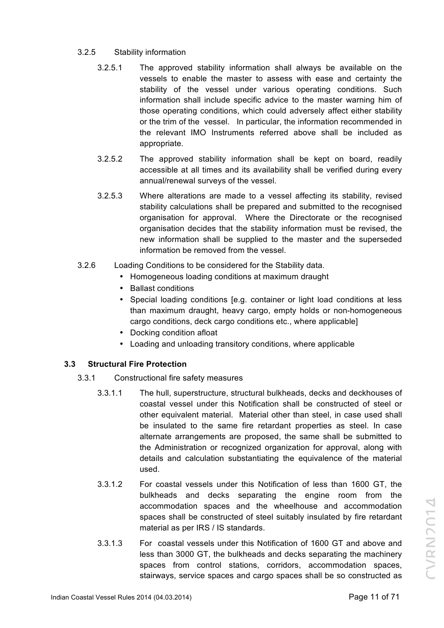# 3.2.5 Stability information

- 3.2.5.1 The approved stability information shall always be available on the vessels to enable the master to assess with ease and certainty the stability of the vessel under various operating conditions. Such information shall include specific advice to the master warning him of those operating conditions, which could adversely affect either stability or the trim of the vessel. In particular, the information recommended in the relevant IMO Instruments referred above shall be included as appropriate.
- 3.2.5.2 The approved stability information shall be kept on board, readily accessible at all times and its availability shall be verified during every annual/renewal surveys of the vessel.
- 3.2.5.3 Where alterations are made to a vessel affecting its stability, revised stability calculations shall be prepared and submitted to the recognised organisation for approval. Where the Directorate or the recognised organisation decides that the stability information must be revised, the new information shall be supplied to the master and the superseded information be removed from the vessel.
- 3.2.6 Loading Conditions to be considered for the Stability data.
	- Homogeneous loading conditions at maximum draught
	- Ballast conditions
	- Special loading conditions [e.g. container or light load conditions at less than maximum draught, heavy cargo, empty holds or non-homogeneous cargo conditions, deck cargo conditions etc., where applicable]
	- Docking condition afloat
	- Loading and unloading transitory conditions, where applicable

# **3.3 Structural Fire Protection**

- 3.3.1 Constructional fire safety measures
	- 3.3.1.1 The hull, superstructure, structural bulkheads, decks and deckhouses of coastal vessel under this Notification shall be constructed of steel or other equivalent material. Material other than steel, in case used shall be insulated to the same fire retardant properties as steel. In case alternate arrangements are proposed, the same shall be submitted to the Administration or recognized organization for approval, along with details and calculation substantiating the equivalence of the material used.
	- 3.3.1.2 For coastal vessels under this Notification of less than 1600 GT, the bulkheads and decks separating the engine room from the accommodation spaces and the wheelhouse and accommodation spaces shall be constructed of steel suitably insulated by fire retardant material as per IRS / IS standards.
	- 3.3.1.3 For coastal vessels under this Notification of 1600 GT and above and less than 3000 GT, the bulkheads and decks separating the machinery spaces from control stations, corridors, accommodation spaces, stairways, service spaces and cargo spaces shall be so constructed as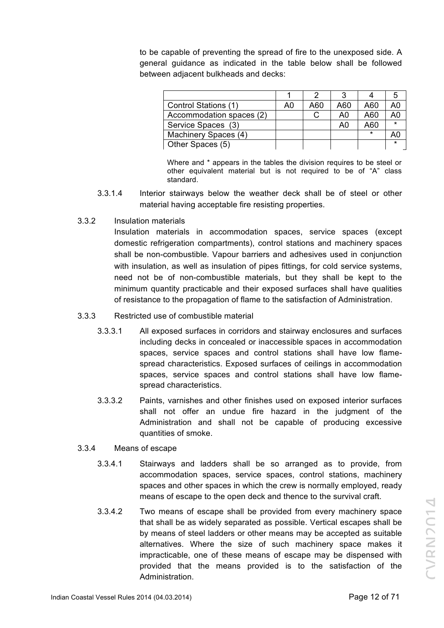to be capable of preventing the spread of fire to the unexposed side. A general guidance as indicated in the table below shall be followed between adjacent bulkheads and decks:

| Control Stations (1)     | A0 | A60 | A60 | A60    |  |
|--------------------------|----|-----|-----|--------|--|
| Accommodation spaces (2) |    |     | A0  | A60    |  |
| Service Spaces (3)       |    |     | A0  | A60    |  |
| Machinery Spaces (4)     |    |     |     | $\ast$ |  |
| Other Spaces (5)         |    |     |     |        |  |

Where and \* appears in the tables the division requires to be steel or other equivalent material but is not required to be of "A" class standard.

- 3.3.1.4 Interior stairways below the weather deck shall be of steel or other material having acceptable fire resisting properties.
- 3.3.2 Insulation materials

Insulation materials in accommodation spaces, service spaces (except domestic refrigeration compartments), control stations and machinery spaces shall be non-combustible. Vapour barriers and adhesives used in conjunction with insulation, as well as insulation of pipes fittings, for cold service systems, need not be of non-combustible materials, but they shall be kept to the minimum quantity practicable and their exposed surfaces shall have qualities of resistance to the propagation of flame to the satisfaction of Administration.

- 3.3.3 Restricted use of combustible material
	- 3.3.3.1 All exposed surfaces in corridors and stairway enclosures and surfaces including decks in concealed or inaccessible spaces in accommodation spaces, service spaces and control stations shall have low flamespread characteristics. Exposed surfaces of ceilings in accommodation spaces, service spaces and control stations shall have low flamespread characteristics.
	- 3.3.3.2 Paints, varnishes and other finishes used on exposed interior surfaces shall not offer an undue fire hazard in the judgment of the Administration and shall not be capable of producing excessive quantities of smoke.
- 3.3.4 Means of escape
	- 3.3.4.1 Stairways and ladders shall be so arranged as to provide, from accommodation spaces, service spaces, control stations, machinery spaces and other spaces in which the crew is normally employed, ready means of escape to the open deck and thence to the survival craft.
	- 3.3.4.2 Two means of escape shall be provided from every machinery space that shall be as widely separated as possible. Vertical escapes shall be by means of steel ladders or other means may be accepted as suitable alternatives. Where the size of such machinery space makes it impracticable, one of these means of escape may be dispensed with provided that the means provided is to the satisfaction of the Administration.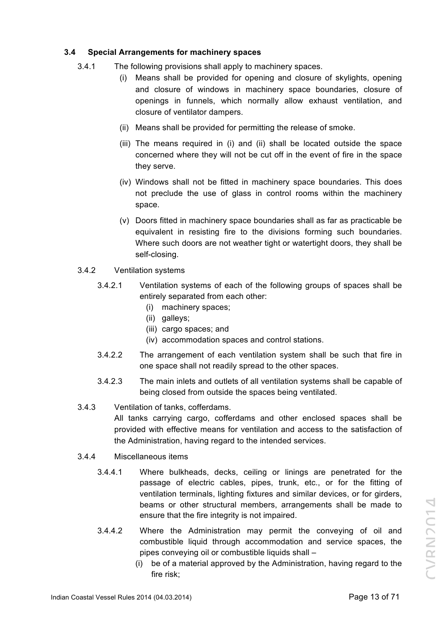# **3.4 Special Arrangements for machinery spaces**

- 3.4.1 The following provisions shall apply to machinery spaces.
	- (i) Means shall be provided for opening and closure of skylights, opening and closure of windows in machinery space boundaries, closure of openings in funnels, which normally allow exhaust ventilation, and closure of ventilator dampers.
	- (ii) Means shall be provided for permitting the release of smoke.
	- (iii) The means required in (i) and (ii) shall be located outside the space concerned where they will not be cut off in the event of fire in the space they serve.
	- (iv) Windows shall not be fitted in machinery space boundaries. This does not preclude the use of glass in control rooms within the machinery space.
	- (v) Doors fitted in machinery space boundaries shall as far as practicable be equivalent in resisting fire to the divisions forming such boundaries. Where such doors are not weather tight or watertight doors, they shall be self-closing.
- 3.4.2 Ventilation systems
	- 3.4.2.1 Ventilation systems of each of the following groups of spaces shall be entirely separated from each other:
		- (i) machinery spaces;
		- (ii) galleys;
		- (iii) cargo spaces; and
		- (iv) accommodation spaces and control stations.
	- 3.4.2.2 The arrangement of each ventilation system shall be such that fire in one space shall not readily spread to the other spaces.
	- 3.4.2.3 The main inlets and outlets of all ventilation systems shall be capable of being closed from outside the spaces being ventilated.
- 3.4.3 Ventilation of tanks, cofferdams.
	- All tanks carrying cargo, cofferdams and other enclosed spaces shall be provided with effective means for ventilation and access to the satisfaction of the Administration, having regard to the intended services.
- 3.4.4 Miscellaneous items
	- 3.4.4.1 Where bulkheads, decks, ceiling or linings are penetrated for the passage of electric cables, pipes, trunk, etc., or for the fitting of ventilation terminals, lighting fixtures and similar devices, or for girders, beams or other structural members, arrangements shall be made to ensure that the fire integrity is not impaired.
	- 3.4.4.2 Where the Administration may permit the conveying of oil and combustible liquid through accommodation and service spaces, the pipes conveying oil or combustible liquids shall –
		- (i) be of a material approved by the Administration, having regard to the fire risk;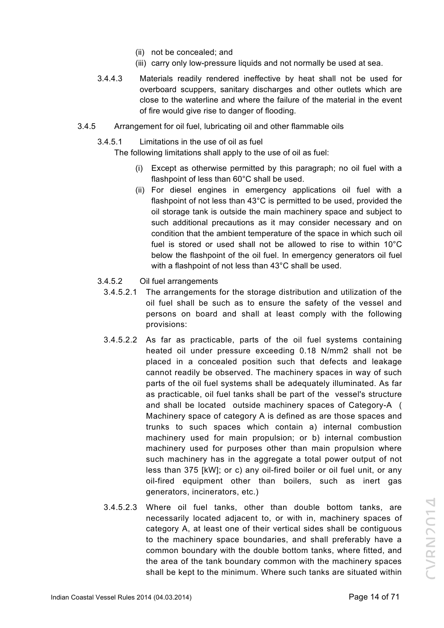- (ii) not be concealed; and
- (iii) carry only low-pressure liquids and not normally be used at sea.
- 3.4.4.3 Materials readily rendered ineffective by heat shall not be used for overboard scuppers, sanitary discharges and other outlets which are close to the waterline and where the failure of the material in the event of fire would give rise to danger of flooding.
- 3.4.5 Arrangement for oil fuel, lubricating oil and other flammable oils
	- 3.4.5.1 Limitations in the use of oil as fuel

The following limitations shall apply to the use of oil as fuel:

- (i) Except as otherwise permitted by this paragraph; no oil fuel with a flashpoint of less than 60°C shall be used.
- (ii) For diesel engines in emergency applications oil fuel with a flashpoint of not less than 43°C is permitted to be used, provided the oil storage tank is outside the main machinery space and subject to such additional precautions as it may consider necessary and on condition that the ambient temperature of the space in which such oil fuel is stored or used shall not be allowed to rise to within 10°C below the flashpoint of the oil fuel. In emergency generators oil fuel with a flashpoint of not less than 43°C shall be used.
- 3.4.5.2 Oil fuel arrangements
	- 3.4.5.2.1 The arrangements for the storage distribution and utilization of the oil fuel shall be such as to ensure the safety of the vessel and persons on board and shall at least comply with the following provisions:
	- 3.4.5.2.2 As far as practicable, parts of the oil fuel systems containing heated oil under pressure exceeding 0.18 N/mm2 shall not be placed in a concealed position such that defects and leakage cannot readily be observed. The machinery spaces in way of such parts of the oil fuel systems shall be adequately illuminated. As far as practicable, oil fuel tanks shall be part of the vessel's structure and shall be located outside machinery spaces of Category-A ( Machinery space of category A is defined as are those spaces and trunks to such spaces which contain a) internal combustion machinery used for main propulsion; or b) internal combustion machinery used for purposes other than main propulsion where such machinery has in the aggregate a total power output of not less than 375 [kW]; or c) any oil-fired boiler or oil fuel unit, or any oil-fired equipment other than boilers, such as inert gas generators, incinerators, etc.)
	- 3.4.5.2.3 Where oil fuel tanks, other than double bottom tanks, are necessarily located adjacent to, or with in, machinery spaces of category A, at least one of their vertical sides shall be contiguous to the machinery space boundaries, and shall preferably have a common boundary with the double bottom tanks, where fitted, and the area of the tank boundary common with the machinery spaces shall be kept to the minimum. Where such tanks are situated within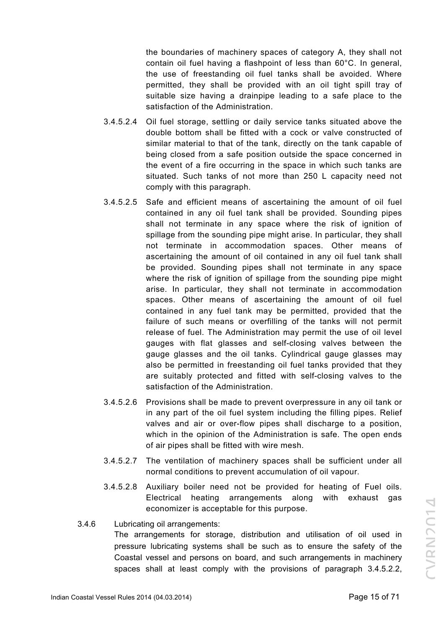the boundaries of machinery spaces of category A, they shall not contain oil fuel having a flashpoint of less than 60°C. In general, the use of freestanding oil fuel tanks shall be avoided. Where permitted, they shall be provided with an oil tight spill tray of suitable size having a drainpipe leading to a safe place to the satisfaction of the Administration.

- 3.4.5.2.4 Oil fuel storage, settling or daily service tanks situated above the double bottom shall be fitted with a cock or valve constructed of similar material to that of the tank, directly on the tank capable of being closed from a safe position outside the space concerned in the event of a fire occurring in the space in which such tanks are situated. Such tanks of not more than 250 L capacity need not comply with this paragraph.
- 3.4.5.2.5 Safe and efficient means of ascertaining the amount of oil fuel contained in any oil fuel tank shall be provided. Sounding pipes shall not terminate in any space where the risk of ignition of spillage from the sounding pipe might arise. In particular, they shall not terminate in accommodation spaces. Other means of ascertaining the amount of oil contained in any oil fuel tank shall be provided. Sounding pipes shall not terminate in any space where the risk of ignition of spillage from the sounding pipe might arise. In particular, they shall not terminate in accommodation spaces. Other means of ascertaining the amount of oil fuel contained in any fuel tank may be permitted, provided that the failure of such means or overfilling of the tanks will not permit release of fuel. The Administration may permit the use of oil level gauges with flat glasses and self-closing valves between the gauge glasses and the oil tanks. Cylindrical gauge glasses may also be permitted in freestanding oil fuel tanks provided that they are suitably protected and fitted with self-closing valves to the satisfaction of the Administration.
- 3.4.5.2.6 Provisions shall be made to prevent overpressure in any oil tank or in any part of the oil fuel system including the filling pipes. Relief valves and air or over-flow pipes shall discharge to a position, which in the opinion of the Administration is safe. The open ends of air pipes shall be fitted with wire mesh.
- 3.4.5.2.7 The ventilation of machinery spaces shall be sufficient under all normal conditions to prevent accumulation of oil vapour.
- 3.4.5.2.8 Auxiliary boiler need not be provided for heating of Fuel oils. Electrical heating arrangements along with exhaust gas economizer is acceptable for this purpose.
- 3.4.6 Lubricating oil arrangements: The arrangements for storage, distribution and utilisation of oil used in pressure lubricating systems shall be such as to ensure the safety of the Coastal vessel and persons on board, and such arrangements in machinery spaces shall at least comply with the provisions of paragraph 3.4.5.2.2,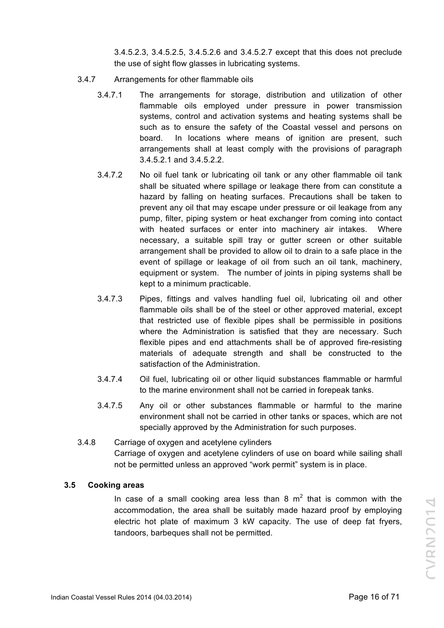3.4.5.2.3, 3.4.5.2.5, 3.4.5.2.6 and 3.4.5.2.7 except that this does not preclude the use of sight flow glasses in lubricating systems.

- 3.4.7 Arrangements for other flammable oils
	- 3.4.7.1 The arrangements for storage, distribution and utilization of other flammable oils employed under pressure in power transmission systems, control and activation systems and heating systems shall be such as to ensure the safety of the Coastal vessel and persons on board. In locations where means of ignition are present, such arrangements shall at least comply with the provisions of paragraph 3.4.5.2.1 and 3.4.5.2.2.
	- 3.4.7.2 No oil fuel tank or lubricating oil tank or any other flammable oil tank shall be situated where spillage or leakage there from can constitute a hazard by falling on heating surfaces. Precautions shall be taken to prevent any oil that may escape under pressure or oil leakage from any pump, filter, piping system or heat exchanger from coming into contact with heated surfaces or enter into machinery air intakes. Where necessary, a suitable spill tray or gutter screen or other suitable arrangement shall be provided to allow oil to drain to a safe place in the event of spillage or leakage of oil from such an oil tank, machinery, equipment or system. The number of joints in piping systems shall be kept to a minimum practicable.
	- 3.4.7.3 Pipes, fittings and valves handling fuel oil, lubricating oil and other flammable oils shall be of the steel or other approved material, except that restricted use of flexible pipes shall be permissible in positions where the Administration is satisfied that they are necessary. Such flexible pipes and end attachments shall be of approved fire-resisting materials of adequate strength and shall be constructed to the satisfaction of the Administration.
	- 3.4.7.4 Oil fuel, lubricating oil or other liquid substances flammable or harmful to the marine environment shall not be carried in forepeak tanks.
	- 3.4.7.5 Any oil or other substances flammable or harmful to the marine environment shall not be carried in other tanks or spaces, which are not specially approved by the Administration for such purposes.
- 3.4.8 Carriage of oxygen and acetylene cylinders Carriage of oxygen and acetylene cylinders of use on board while sailing shall not be permitted unless an approved "work permit" system is in place.

# **3.5 Cooking areas**

In case of a small cooking area less than 8  $m<sup>2</sup>$  that is common with the accommodation, the area shall be suitably made hazard proof by employing electric hot plate of maximum 3 kW capacity. The use of deep fat fryers, tandoors, barbeques shall not be permitted.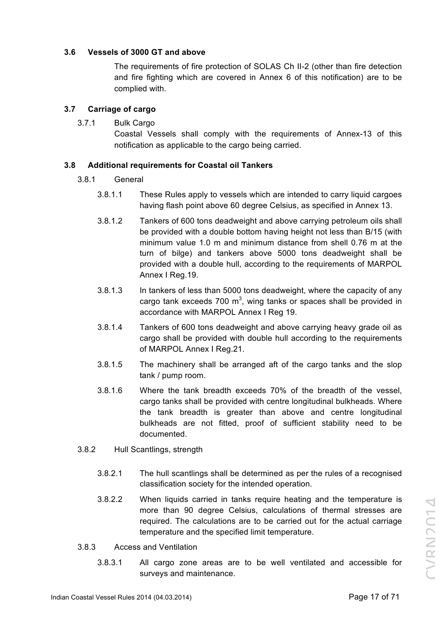# **3.6 Vessels of 3000 GT and above**

The requirements of fire protection of SOLAS Ch II-2 (other than fire detection and fire fighting which are covered in Annex 6 of this notification) are to be complied with.

# **3.7 Carriage of cargo**

3.7.1 Bulk Cargo

Coastal Vessels shall comply with the requirements of Annex-13 of this notification as applicable to the cargo being carried.

# **3.8 Additional requirements for Coastal oil Tankers**

- 3.8.1 General
	- 3.8.1.1 These Rules apply to vessels which are intended to carry liquid cargoes having flash point above 60 degree Celsius, as specified in Annex 13.
	- 3.8.1.2 Tankers of 600 tons deadweight and above carrying petroleum oils shall be provided with a double bottom having height not less than B/15 (with minimum value 1.0 m and minimum distance from shell 0.76 m at the turn of bilge) and tankers above 5000 tons deadweight shall be provided with a double hull, according to the requirements of MARPOL Annex I Reg.19.
	- 3.8.1.3 In tankers of less than 5000 tons deadweight, where the capacity of any cargo tank exceeds 700  $m^3$ , wing tanks or spaces shall be provided in accordance with MARPOL Annex I Reg 19.
	- 3.8.1.4 Tankers of 600 tons deadweight and above carrying heavy grade oil as cargo shall be provided with double hull according to the requirements of MARPOL Annex I Reg.21.
	- 3.8.1.5 The machinery shall be arranged aft of the cargo tanks and the slop tank / pump room.
	- 3.8.1.6 Where the tank breadth exceeds 70% of the breadth of the vessel, cargo tanks shall be provided with centre longitudinal bulkheads. Where the tank breadth is greater than above and centre longitudinal bulkheads are not fitted, proof of sufficient stability need to be documented.
- 3.8.2 Hull Scantlings, strength
	- 3.8.2.1 The hull scantlings shall be determined as per the rules of a recognised classification society for the intended operation.
	- 3.8.2.2 When liquids carried in tanks require heating and the temperature is more than 90 degree Celsius, calculations of thermal stresses are required. The calculations are to be carried out for the actual carriage temperature and the specified limit temperature.
- 3.8.3 Access and Ventilation
	- 3.8.3.1 All cargo zone areas are to be well ventilated and accessible for surveys and maintenance.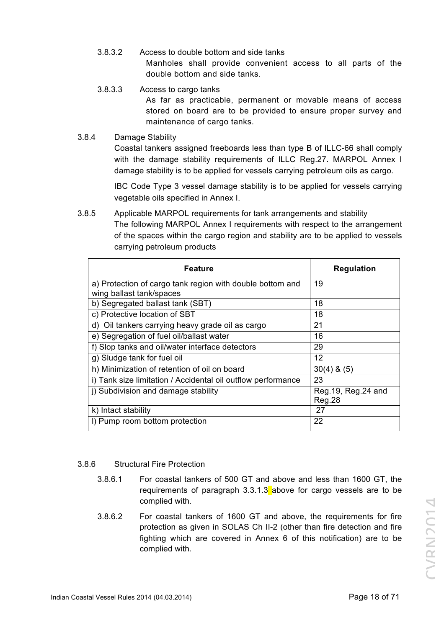- 3.8.3.2 Access to double bottom and side tanks Manholes shall provide convenient access to all parts of the double bottom and side tanks.
- 3.8.3.3 Access to cargo tanks

As far as practicable, permanent or movable means of access stored on board are to be provided to ensure proper survey and maintenance of cargo tanks.

3.8.4 Damage Stability

Coastal tankers assigned freeboards less than type B of ILLC-66 shall comply with the damage stability requirements of ILLC Reg.27. MARPOL Annex I damage stability is to be applied for vessels carrying petroleum oils as cargo.

IBC Code Type 3 vessel damage stability is to be applied for vessels carrying vegetable oils specified in Annex I.

3.8.5 Applicable MARPOL requirements for tank arrangements and stability The following MARPOL Annex I requirements with respect to the arrangement of the spaces within the cargo region and stability are to be applied to vessels carrying petroleum products

| <b>Feature</b>                                                                        | <b>Regulation</b>              |  |  |
|---------------------------------------------------------------------------------------|--------------------------------|--|--|
| a) Protection of cargo tank region with double bottom and<br>wing ballast tank/spaces | 19                             |  |  |
| b) Segregated ballast tank (SBT)                                                      | 18                             |  |  |
| c) Protective location of SBT                                                         | 18                             |  |  |
| d) Oil tankers carrying heavy grade oil as cargo                                      | 21                             |  |  |
| e) Segregation of fuel oil/ballast water                                              | 16                             |  |  |
| f) Slop tanks and oil/water interface detectors                                       | 29                             |  |  |
| g) Sludge tank for fuel oil                                                           | $12 \,$                        |  |  |
| h) Minimization of retention of oil on board                                          | $30(4)$ & $(5)$                |  |  |
| i) Tank size limitation / Accidental oil outflow performance                          | 23                             |  |  |
| i) Subdivision and damage stability                                                   | Reg. 19, Reg. 24 and<br>Reg.28 |  |  |
| k) Intact stability                                                                   | 27                             |  |  |
| I) Pump room bottom protection                                                        | 22                             |  |  |

# 3.8.6 Structural Fire Protection

- 3.8.6.1 For coastal tankers of 500 GT and above and less than 1600 GT, the requirements of paragraph  $3.3.1.3$  above for cargo vessels are to be complied with.
- 3.8.6.2 For coastal tankers of 1600 GT and above, the requirements for fire protection as given in SOLAS Ch II-2 (other than fire detection and fire fighting which are covered in Annex 6 of this notification) are to be complied with.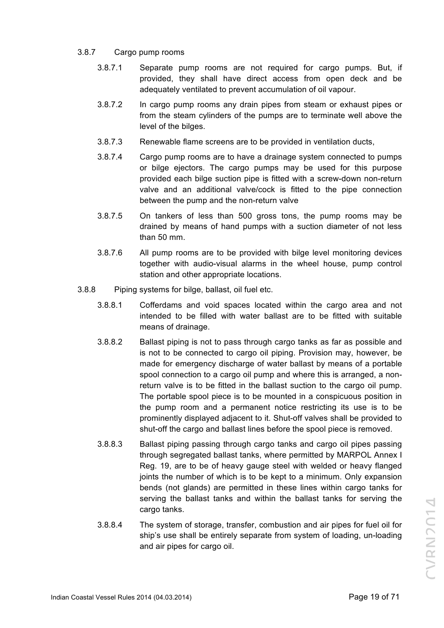#### 3.8.7 Cargo pump rooms

- 3.8.7.1 Separate pump rooms are not required for cargo pumps. But, if provided, they shall have direct access from open deck and be adequately ventilated to prevent accumulation of oil vapour.
- 3.8.7.2 In cargo pump rooms any drain pipes from steam or exhaust pipes or from the steam cylinders of the pumps are to terminate well above the level of the bilges.
- 3.8.7.3 Renewable flame screens are to be provided in ventilation ducts,
- 3.8.7.4 Cargo pump rooms are to have a drainage system connected to pumps or bilge ejectors. The cargo pumps may be used for this purpose provided each bilge suction pipe is fitted with a screw-down non-return valve and an additional valve/cock is fitted to the pipe connection between the pump and the non-return valve
- 3.8.7.5 On tankers of less than 500 gross tons, the pump rooms may be drained by means of hand pumps with a suction diameter of not less than 50 mm.
- 3.8.7.6 All pump rooms are to be provided with bilge level monitoring devices together with audio-visual alarms in the wheel house, pump control station and other appropriate locations.
- 3.8.8 Piping systems for bilge, ballast, oil fuel etc.
	- 3.8.8.1 Cofferdams and void spaces located within the cargo area and not intended to be filled with water ballast are to be fitted with suitable means of drainage.
	- 3.8.8.2 Ballast piping is not to pass through cargo tanks as far as possible and is not to be connected to cargo oil piping. Provision may, however, be made for emergency discharge of water ballast by means of a portable spool connection to a cargo oil pump and where this is arranged, a nonreturn valve is to be fitted in the ballast suction to the cargo oil pump. The portable spool piece is to be mounted in a conspicuous position in the pump room and a permanent notice restricting its use is to be prominently displayed adjacent to it. Shut-off valves shall be provided to shut-off the cargo and ballast lines before the spool piece is removed.
	- 3.8.8.3 Ballast piping passing through cargo tanks and cargo oil pipes passing through segregated ballast tanks, where permitted by MARPOL Annex I Reg. 19, are to be of heavy gauge steel with welded or heavy flanged joints the number of which is to be kept to a minimum. Only expansion bends (not glands) are permitted in these lines within cargo tanks for serving the ballast tanks and within the ballast tanks for serving the cargo tanks.
	- 3.8.8.4 The system of storage, transfer, combustion and air pipes for fuel oil for ship's use shall be entirely separate from system of loading, un-loading and air pipes for cargo oil.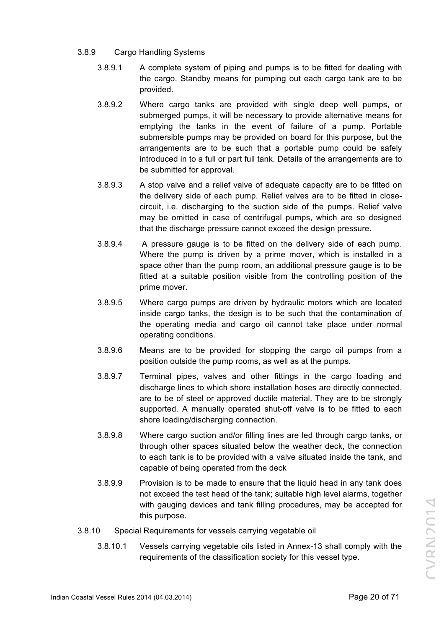- 3.8.9 Cargo Handling Systems
	- 3.8.9.1 A complete system of piping and pumps is to be fitted for dealing with the cargo. Standby means for pumping out each cargo tank are to be provided.
	- 3.8.9.2 Where cargo tanks are provided with single deep well pumps, or submerged pumps, it will be necessary to provide alternative means for emptying the tanks in the event of failure of a pump. Portable submersible pumps may be provided on board for this purpose, but the arrangements are to be such that a portable pump could be safely introduced in to a full or part full tank. Details of the arrangements are to be submitted for approval.
	- 3.8.9.3 A stop valve and a relief valve of adequate capacity are to be fitted on the delivery side of each pump. Relief valves are to be fitted in closecircuit, i.e. discharging to the suction side of the pumps. Relief valve may be omitted in case of centrifugal pumps, which are so designed that the discharge pressure cannot exceed the design pressure.
	- 3.8.9.4 A pressure gauge is to be fitted on the delivery side of each pump. Where the pump is driven by a prime mover, which is installed in a space other than the pump room, an additional pressure gauge is to be fitted at a suitable position visible from the controlling position of the prime mover.
	- 3.8.9.5 Where cargo pumps are driven by hydraulic motors which are located inside cargo tanks, the design is to be such that the contamination of the operating media and cargo oil cannot take place under normal operating conditions.
	- 3.8.9.6 Means are to be provided for stopping the cargo oil pumps from a position outside the pump rooms, as well as at the pumps.
	- 3.8.9.7 Terminal pipes, valves and other fittings in the cargo loading and discharge lines to which shore installation hoses are directly connected, are to be of steel or approved ductile material. They are to be strongly supported. A manually operated shut-off valve is to be fitted to each shore loading/discharging connection.
	- 3.8.9.8 Where cargo suction and/or filling lines are led through cargo tanks, or through other spaces situated below the weather deck, the connection to each tank is to be provided with a valve situated inside the tank, and capable of being operated from the deck
	- 3.8.9.9 Provision is to be made to ensure that the liquid head in any tank does not exceed the test head of the tank; suitable high level alarms, together with gauging devices and tank filling procedures, may be accepted for this purpose.
- 3.8.10 Special Requirements for vessels carrying vegetable oil
	- 3.8.10.1 Vessels carrying vegetable oils listed in Annex-13 shall comply with the requirements of the classification society for this vessel type.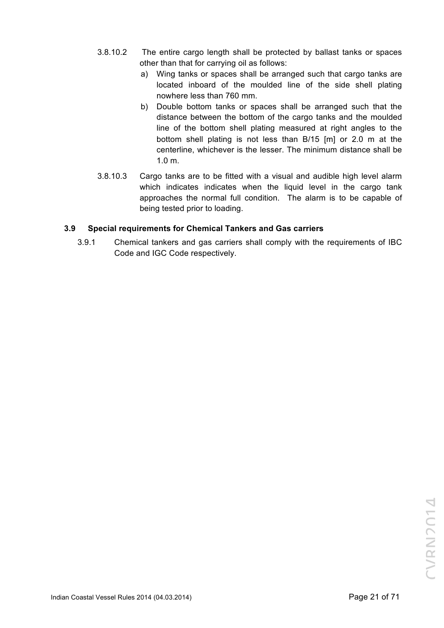- 3.8.10.2 The entire cargo length shall be protected by ballast tanks or spaces other than that for carrying oil as follows:
	- a) Wing tanks or spaces shall be arranged such that cargo tanks are located inboard of the moulded line of the side shell plating nowhere less than 760 mm.
	- b) Double bottom tanks or spaces shall be arranged such that the distance between the bottom of the cargo tanks and the moulded line of the bottom shell plating measured at right angles to the bottom shell plating is not less than B/15 [m] or 2.0 m at the centerline, whichever is the lesser. The minimum distance shall be 1.0 m.
- 3.8.10.3 Cargo tanks are to be fitted with a visual and audible high level alarm which indicates indicates when the liquid level in the cargo tank approaches the normal full condition. The alarm is to be capable of being tested prior to loading.

# **3.9 Special requirements for Chemical Tankers and Gas carriers**

3.9.1 Chemical tankers and gas carriers shall comply with the requirements of IBC Code and IGC Code respectively.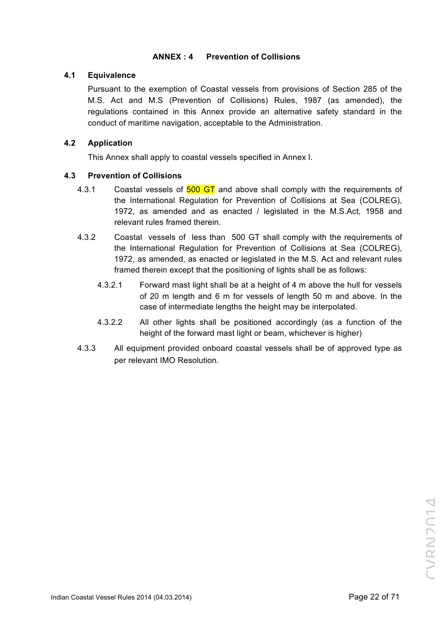# **ANNEX : 4 Prevention of Collisions**

# **4.1 Equivalence**

Pursuant to the exemption of Coastal vessels from provisions of Section 285 of the M.S. Act and M.S (Prevention of Collisions) Rules, 1987 (as amended), the regulations contained in this Annex provide an alternative safety standard in the conduct of maritime navigation, acceptable to the Administration.

# **4.2 Application**

This Annex shall apply to coastal vessels specified in Annex I.

# **4.3 Prevention of Collisions**

- 4.3.1 Coastal vessels of 500 GT and above shall comply with the requirements of the International Regulation for Prevention of Collisions at Sea (COLREG), 1972, as amended and as enacted / legislated in the M.S.Act, 1958 and relevant rules framed therein.
- 4.3.2 Coastal vessels of less than 500 GT shall comply with the requirements of the International Regulation for Prevention of Collisions at Sea (COLREG), 1972, as amended, as enacted or legislated in the M.S. Act and relevant rules framed therein except that the positioning of lights shall be as follows:
	- 4.3.2.1 Forward mast light shall be at a height of 4 m above the hull for vessels of 20 m length and 6 m for vessels of length 50 m and above. In the case of intermediate lengths the height may be interpolated.
	- 4.3.2.2 All other lights shall be positioned accordingly (as a function of the height of the forward mast light or beam, whichever is higher)
- 4.3.3 All equipment provided onboard coastal vessels shall be of approved type as per relevant IMO Resolution.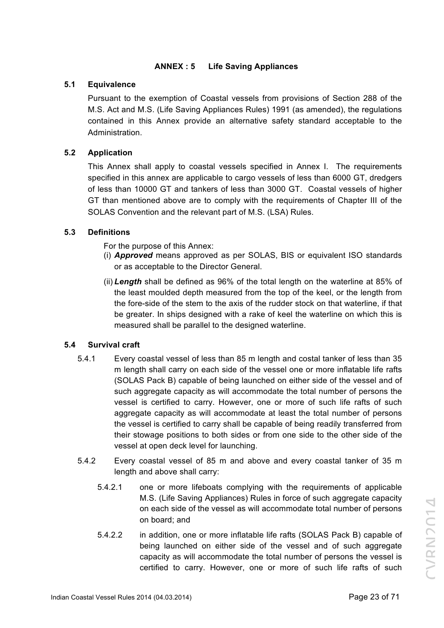# **ANNEX : 5 Life Saving Appliances**

# **5.1 Equivalence**

Pursuant to the exemption of Coastal vessels from provisions of Section 288 of the M.S. Act and M.S. (Life Saving Appliances Rules) 1991 (as amended), the regulations contained in this Annex provide an alternative safety standard acceptable to the Administration.

# **5.2 Application**

This Annex shall apply to coastal vessels specified in Annex I. The requirements specified in this annex are applicable to cargo vessels of less than 6000 GT, dredgers of less than 10000 GT and tankers of less than 3000 GT. Coastal vessels of higher GT than mentioned above are to comply with the requirements of Chapter III of the SOLAS Convention and the relevant part of M.S. (LSA) Rules.

# **5.3 Definitions**

For the purpose of this Annex:

- (i) *Approved* means approved as per SOLAS, BIS or equivalent ISO standards or as acceptable to the Director General.
- (ii) *Length* shall be defined as 96% of the total length on the waterline at 85% of the least moulded depth measured from the top of the keel, or the length from the fore-side of the stem to the axis of the rudder stock on that waterline, if that be greater. In ships designed with a rake of keel the waterline on which this is measured shall be parallel to the designed waterline.

# **5.4 Survival craft**

- 5.4.1 Every coastal vessel of less than 85 m length and costal tanker of less than 35 m length shall carry on each side of the vessel one or more inflatable life rafts (SOLAS Pack B) capable of being launched on either side of the vessel and of such aggregate capacity as will accommodate the total number of persons the vessel is certified to carry. However, one or more of such life rafts of such aggregate capacity as will accommodate at least the total number of persons the vessel is certified to carry shall be capable of being readily transferred from their stowage positions to both sides or from one side to the other side of the vessel at open deck level for launching.
- 5.4.2 Every coastal vessel of 85 m and above and every coastal tanker of 35 m length and above shall carry:
	- 5.4.2.1 one or more lifeboats complying with the requirements of applicable M.S. (Life Saving Appliances) Rules in force of such aggregate capacity on each side of the vessel as will accommodate total number of persons on board; and
	- 5.4.2.2 in addition, one or more inflatable life rafts (SOLAS Pack B) capable of being launched on either side of the vessel and of such aggregate capacity as will accommodate the total number of persons the vessel is certified to carry. However, one or more of such life rafts of such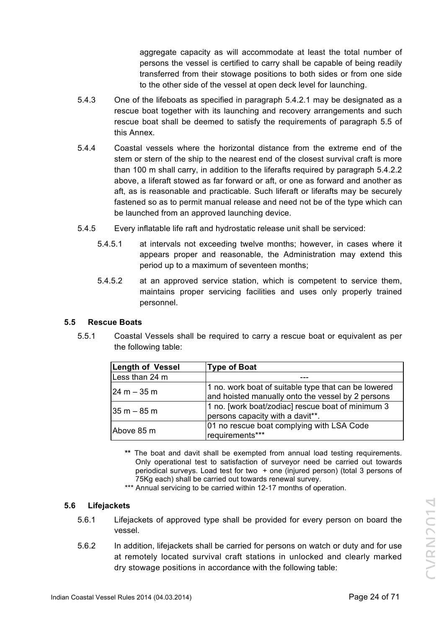aggregate capacity as will accommodate at least the total number of persons the vessel is certified to carry shall be capable of being readily transferred from their stowage positions to both sides or from one side to the other side of the vessel at open deck level for launching.

- 5.4.3 One of the lifeboats as specified in paragraph 5.4.2.1 may be designated as a rescue boat together with its launching and recovery arrangements and such rescue boat shall be deemed to satisfy the requirements of paragraph 5.5 of this Annex.
- 5.4.4 Coastal vessels where the horizontal distance from the extreme end of the stem or stern of the ship to the nearest end of the closest survival craft is more than 100 m shall carry, in addition to the liferafts required by paragraph 5.4.2.2 above, a liferaft stowed as far forward or aft, or one as forward and another as aft, as is reasonable and practicable. Such liferaft or liferafts may be securely fastened so as to permit manual release and need not be of the type which can be launched from an approved launching device.
- 5.4.5 Every inflatable life raft and hydrostatic release unit shall be serviced:
	- 5.4.5.1 at intervals not exceeding twelve months; however, in cases where it appears proper and reasonable, the Administration may extend this period up to a maximum of seventeen months;
	- 5.4.5.2 at an approved service station, which is competent to service them, maintains proper servicing facilities and uses only properly trained personnel.

# **5.5 Rescue Boats**

5.5.1 Coastal Vessels shall be required to carry a rescue boat or equivalent as per the following table:

| <b>Length of Vessel</b>         | Type of Boat                                                                                              |
|---------------------------------|-----------------------------------------------------------------------------------------------------------|
| Less than 24 m                  |                                                                                                           |
| $ 24 \text{ m} - 35 \text{ m} $ | 1 no. work boat of suitable type that can be lowered<br>and hoisted manually onto the vessel by 2 persons |
| 35 m – 85 m                     | 1 no. [work boat/zodiac] rescue boat of minimum 3<br>persons capacity with a davit**.                     |
| Above 85 m                      | 01 no rescue boat complying with LSA Code<br>requirements***                                              |

- **\*\*** The boat and davit shall be exempted from annual load testing requirements. Only operational test to satisfaction of surveyor need be carried out towards periodical surveys. Load test for two + one (injured person) (total 3 persons of 75Kg each) shall be carried out towards renewal survey.
- \*\*\* Annual servicing to be carried within 12-17 months of operation.

# **5.6 Lifejackets**

- 5.6.1 Lifejackets of approved type shall be provided for every person on board the vessel.
- 5.6.2 In addition, lifejackets shall be carried for persons on watch or duty and for use at remotely located survival craft stations in unlocked and clearly marked dry stowage positions in accordance with the following table: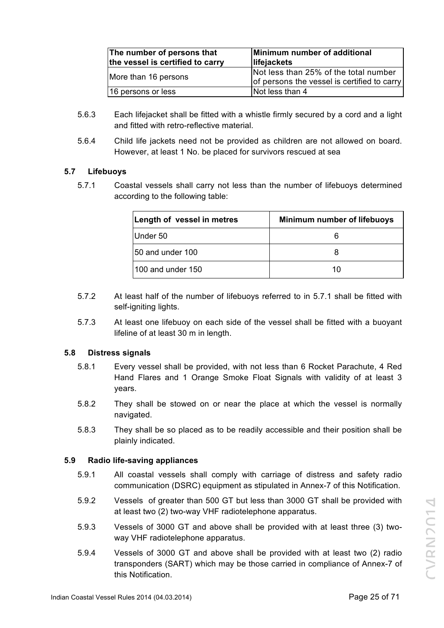| The number of persons that<br>the vessel is certified to carry | Minimum number of additional<br>lifejackets                                          |
|----------------------------------------------------------------|--------------------------------------------------------------------------------------|
| More than 16 persons                                           | Not less than 25% of the total number<br>of persons the vessel is certified to carry |
| 16 persons or less                                             | Not less than 4                                                                      |

- 5.6.3 Each lifejacket shall be fitted with a whistle firmly secured by a cord and a light and fitted with retro-reflective material.
- 5.6.4 Child life jackets need not be provided as children are not allowed on board. However, at least 1 No. be placed for survivors rescued at sea

# **5.7 Lifebuoys**

5.7.1 Coastal vessels shall carry not less than the number of lifebuoys determined according to the following table:

| Length of vessel in metres | <b>Minimum number of lifebuoys</b> |
|----------------------------|------------------------------------|
| Under 50                   |                                    |
| 50 and under 100           |                                    |
| 100 and under 150          | 10                                 |

- 5.7.2 At least half of the number of lifebuoys referred to in 5.7.1 shall be fitted with self-igniting lights.
- 5.7.3 At least one lifebuoy on each side of the vessel shall be fitted with a buoyant lifeline of at least 30 m in length.

# **5.8 Distress signals**

- 5.8.1 Every vessel shall be provided, with not less than 6 Rocket Parachute, 4 Red Hand Flares and 1 Orange Smoke Float Signals with validity of at least 3 years.
- 5.8.2 They shall be stowed on or near the place at which the vessel is normally navigated.
- 5.8.3 They shall be so placed as to be readily accessible and their position shall be plainly indicated.

# **5.9 Radio life-saving appliances**

- 5.9.1 All coastal vessels shall comply with carriage of distress and safety radio communication (DSRC) equipment as stipulated in Annex-7 of this Notification.
- 5.9.2 Vessels of greater than 500 GT but less than 3000 GT shall be provided with at least two (2) two-way VHF radiotelephone apparatus.
- 5.9.3 Vessels of 3000 GT and above shall be provided with at least three (3) twoway VHF radiotelephone apparatus.
- 5.9.4 Vessels of 3000 GT and above shall be provided with at least two (2) radio transponders (SART) which may be those carried in compliance of Annex-7 of this Notification.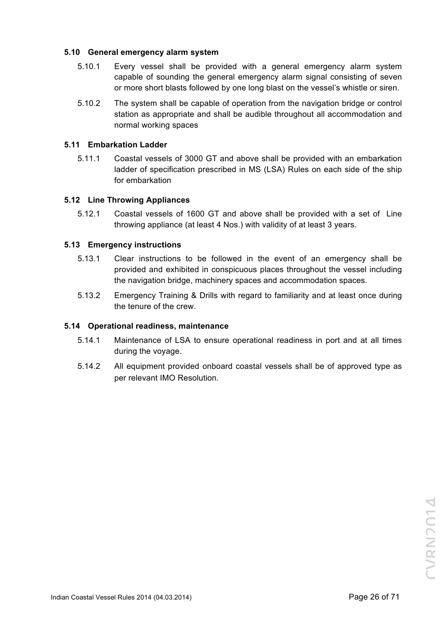# **5.10 General emergency alarm system**

- 5.10.1 Every vessel shall be provided with a general emergency alarm system capable of sounding the general emergency alarm signal consisting of seven or more short blasts followed by one long blast on the vessel's whistle or siren.
- 5.10.2 The system shall be capable of operation from the navigation bridge or control station as appropriate and shall be audible throughout all accommodation and normal working spaces

#### **5.11 Embarkation Ladder**

5.11.1 Coastal vessels of 3000 GT and above shall be provided with an embarkation ladder of specification prescribed in MS (LSA) Rules on each side of the ship for embarkation

#### **5.12 Line Throwing Appliances**

5.12.1 Coastal vessels of 1600 GT and above shall be provided with a set of Line throwing appliance (at least 4 Nos.) with validity of at least 3 years.

#### **5.13 Emergency instructions**

- 5.13.1 Clear instructions to be followed in the event of an emergency shall be provided and exhibited in conspicuous places throughout the vessel including the navigation bridge, machinery spaces and accommodation spaces.
- 5.13.2 Emergency Training & Drills with regard to familiarity and at least once during the tenure of the crew.

#### **5.14 Operational readiness, maintenance**

- 5.14.1 Maintenance of LSA to ensure operational readiness in port and at all times during the voyage.
- 5.14.2 All equipment provided onboard coastal vessels shall be of approved type as per relevant IMO Resolution.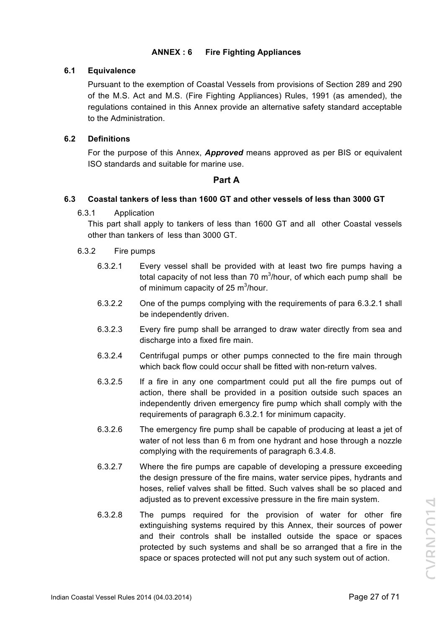# **ANNEX : 6 Fire Fighting Appliances**

# **6.1 Equivalence**

Pursuant to the exemption of Coastal Vessels from provisions of Section 289 and 290 of the M.S. Act and M.S. (Fire Fighting Appliances) Rules, 1991 (as amended), the regulations contained in this Annex provide an alternative safety standard acceptable to the Administration.

# **6.2 Definitions**

For the purpose of this Annex, *Approved* means approved as per BIS or equivalent ISO standards and suitable for marine use.

# **Part A**

# **6.3 Coastal tankers of less than 1600 GT and other vessels of less than 3000 GT**

6.3.1 Application

This part shall apply to tankers of less than 1600 GT and all other Coastal vessels other than tankers of less than 3000 GT.

# 6.3.2 Fire pumps

- 6.3.2.1 Every vessel shall be provided with at least two fire pumps having a total capacity of not less than 70 m<sup>3</sup>/hour, of which each pump shall be of minimum capacity of 25 m<sup>3</sup>/hour.
- 6.3.2.2 One of the pumps complying with the requirements of para 6.3.2.1 shall be independently driven.
- 6.3.2.3 Every fire pump shall be arranged to draw water directly from sea and discharge into a fixed fire main.
- 6.3.2.4 Centrifugal pumps or other pumps connected to the fire main through which back flow could occur shall be fitted with non-return valves.
- 6.3.2.5 If a fire in any one compartment could put all the fire pumps out of action, there shall be provided in a position outside such spaces an independently driven emergency fire pump which shall comply with the requirements of paragraph 6.3.2.1 for minimum capacity.
- 6.3.2.6 The emergency fire pump shall be capable of producing at least a jet of water of not less than 6 m from one hydrant and hose through a nozzle complying with the requirements of paragraph 6.3.4.8.
- 6.3.2.7 Where the fire pumps are capable of developing a pressure exceeding the design pressure of the fire mains, water service pipes, hydrants and hoses, relief valves shall be fitted. Such valves shall be so placed and adjusted as to prevent excessive pressure in the fire main system.
- 6.3.2.8 The pumps required for the provision of water for other fire extinguishing systems required by this Annex, their sources of power and their controls shall be installed outside the space or spaces protected by such systems and shall be so arranged that a fire in the space or spaces protected will not put any such system out of action.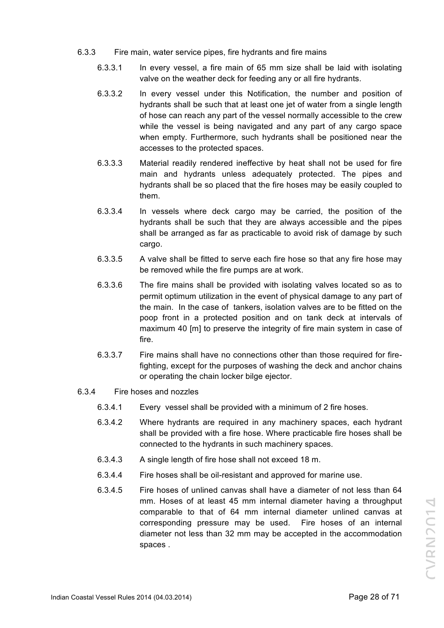- 6.3.3 Fire main, water service pipes, fire hydrants and fire mains
	- 6.3.3.1 In every vessel, a fire main of 65 mm size shall be laid with isolating valve on the weather deck for feeding any or all fire hydrants.
	- 6.3.3.2 In every vessel under this Notification, the number and position of hydrants shall be such that at least one jet of water from a single length of hose can reach any part of the vessel normally accessible to the crew while the vessel is being navigated and any part of any cargo space when empty. Furthermore, such hydrants shall be positioned near the accesses to the protected spaces.
	- 6.3.3.3 Material readily rendered ineffective by heat shall not be used for fire main and hydrants unless adequately protected. The pipes and hydrants shall be so placed that the fire hoses may be easily coupled to them.
	- 6.3.3.4 In vessels where deck cargo may be carried, the position of the hydrants shall be such that they are always accessible and the pipes shall be arranged as far as practicable to avoid risk of damage by such cargo.
	- 6.3.3.5 A valve shall be fitted to serve each fire hose so that any fire hose may be removed while the fire pumps are at work.
	- 6.3.3.6 The fire mains shall be provided with isolating valves located so as to permit optimum utilization in the event of physical damage to any part of the main. In the case of tankers, isolation valves are to be fitted on the poop front in a protected position and on tank deck at intervals of maximum 40 [m] to preserve the integrity of fire main system in case of fire.
	- 6.3.3.7 Fire mains shall have no connections other than those required for firefighting, except for the purposes of washing the deck and anchor chains or operating the chain locker bilge ejector.
- 6.3.4 Fire hoses and nozzles
	- 6.3.4.1 Every vessel shall be provided with a minimum of 2 fire hoses.
	- 6.3.4.2 Where hydrants are required in any machinery spaces, each hydrant shall be provided with a fire hose. Where practicable fire hoses shall be connected to the hydrants in such machinery spaces.
	- 6.3.4.3 A single length of fire hose shall not exceed 18 m.
	- 6.3.4.4 Fire hoses shall be oil-resistant and approved for marine use.
	- 6.3.4.5 Fire hoses of unlined canvas shall have a diameter of not less than 64 mm. Hoses of at least 45 mm internal diameter having a throughput comparable to that of 64 mm internal diameter unlined canvas at corresponding pressure may be used. Fire hoses of an internal diameter not less than 32 mm may be accepted in the accommodation spaces .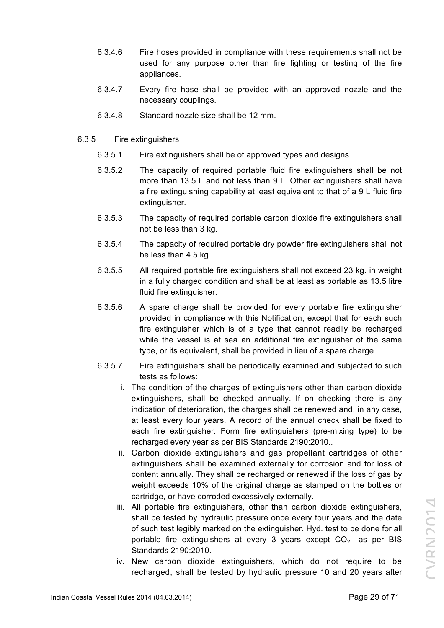- 6.3.4.6 Fire hoses provided in compliance with these requirements shall not be used for any purpose other than fire fighting or testing of the fire appliances.
- 6.3.4.7 Every fire hose shall be provided with an approved nozzle and the necessary couplings.
- 6.3.4.8 Standard nozzle size shall be 12 mm.
- 6.3.5 Fire extinguishers
	- 6.3.5.1 Fire extinguishers shall be of approved types and designs.
	- 6.3.5.2 The capacity of required portable fluid fire extinguishers shall be not more than 13.5 L and not less than 9 L. Other extinguishers shall have a fire extinguishing capability at least equivalent to that of a 9 L fluid fire extinguisher.
	- 6.3.5.3 The capacity of required portable carbon dioxide fire extinguishers shall not be less than 3 kg.
	- 6.3.5.4 The capacity of required portable dry powder fire extinguishers shall not be less than 4.5 kg.
	- 6.3.5.5 All required portable fire extinguishers shall not exceed 23 kg. in weight in a fully charged condition and shall be at least as portable as 13.5 litre fluid fire extinguisher.
	- 6.3.5.6 A spare charge shall be provided for every portable fire extinguisher provided in compliance with this Notification, except that for each such fire extinguisher which is of a type that cannot readily be recharged while the vessel is at sea an additional fire extinguisher of the same type, or its equivalent, shall be provided in lieu of a spare charge.
	- 6.3.5.7 Fire extinguishers shall be periodically examined and subjected to such tests as follows:
		- i. The condition of the charges of extinguishers other than carbon dioxide extinguishers, shall be checked annually. If on checking there is any indication of deterioration, the charges shall be renewed and, in any case, at least every four years. A record of the annual check shall be fixed to each fire extinguisher. Form fire extinguishers (pre-mixing type) to be recharged every year as per BIS Standards 2190:2010..
		- ii. Carbon dioxide extinguishers and gas propellant cartridges of other extinguishers shall be examined externally for corrosion and for loss of content annually. They shall be recharged or renewed if the loss of gas by weight exceeds 10% of the original charge as stamped on the bottles or cartridge, or have corroded excessively externally.
		- iii. All portable fire extinguishers, other than carbon dioxide extinguishers, shall be tested by hydraulic pressure once every four years and the date of such test legibly marked on the extinguisher. Hyd. test to be done for all portable fire extinguishers at every 3 years except  $CO<sub>2</sub>$  as per BIS Standards 2190:2010.
		- iv. New carbon dioxide extinguishers, which do not require to be recharged, shall be tested by hydraulic pressure 10 and 20 years after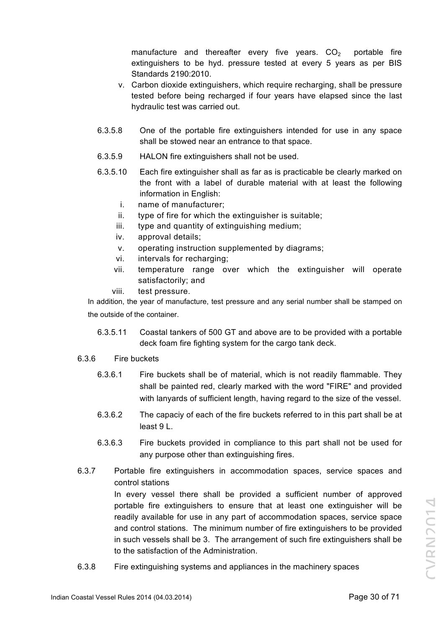manufacture and thereafter every five years.  $CO<sub>2</sub>$  portable fire extinguishers to be hyd. pressure tested at every 5 years as per BIS Standards 2190:2010.

- v. Carbon dioxide extinguishers, which require recharging, shall be pressure tested before being recharged if four years have elapsed since the last hydraulic test was carried out.
- 6.3.5.8 One of the portable fire extinguishers intended for use in any space shall be stowed near an entrance to that space.
- 6.3.5.9 HALON fire extinguishers shall not be used.
- 6.3.5.10 Each fire extinguisher shall as far as is practicable be clearly marked on the front with a label of durable material with at least the following information in English:
	- i. name of manufacturer;
	- ii. type of fire for which the extinguisher is suitable;
	- iii. type and quantity of extinguishing medium;
	- iv. approval details;
	- v. operating instruction supplemented by diagrams;
	- vi. intervals for recharging;
	- vii. temperature range over which the extinguisher will operate satisfactorily; and
	- viii. test pressure.

In addition, the year of manufacture, test pressure and any serial number shall be stamped on the outside of the container.

6.3.5.11 Coastal tankers of 500 GT and above are to be provided with a portable deck foam fire fighting system for the cargo tank deck.

# 6.3.6 Fire buckets

- 6.3.6.1 Fire buckets shall be of material, which is not readily flammable. They shall be painted red, clearly marked with the word "FIRE" and provided with lanyards of sufficient length, having regard to the size of the vessel.
- 6.3.6.2 The capaciy of each of the fire buckets referred to in this part shall be at least 9 L.
- 6.3.6.3 Fire buckets provided in compliance to this part shall not be used for any purpose other than extinguishing fires.
- 6.3.7 Portable fire extinguishers in accommodation spaces, service spaces and control stations In every vessel there shall be provided a sufficient number of approved

portable fire extinguishers to ensure that at least one extinguisher will be readily available for use in any part of accommodation spaces, service space and control stations. The minimum number of fire extinguishers to be provided in such vessels shall be 3. The arrangement of such fire extinguishers shall be to the satisfaction of the Administration.

6.3.8 Fire extinguishing systems and appliances in the machinery spaces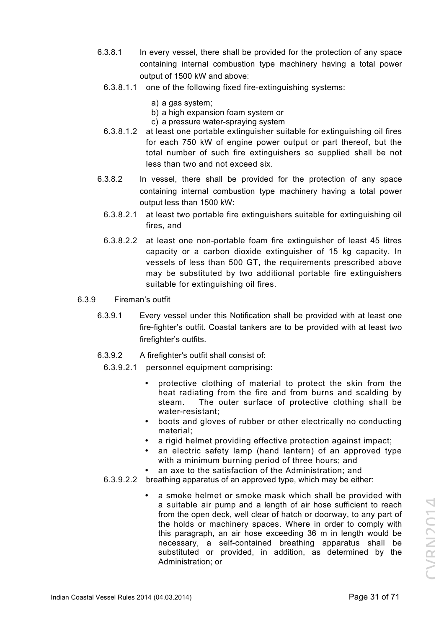- 6.3.8.1 In every vessel, there shall be provided for the protection of any space containing internal combustion type machinery having a total power output of 1500 kW and above:
	- 6.3.8.1.1 one of the following fixed fire-extinguishing systems:
		- a) a gas system;
		- b) a high expansion foam system or
		- c) a pressure water-spraying system
	- 6.3.8.1.2 at least one portable extinguisher suitable for extinguishing oil fires for each 750 kW of engine power output or part thereof, but the total number of such fire extinguishers so supplied shall be not less than two and not exceed six.
- 6.3.8.2 In vessel, there shall be provided for the protection of any space containing internal combustion type machinery having a total power output less than 1500 kW:
	- 6.3.8.2.1 at least two portable fire extinguishers suitable for extinguishing oil fires, and
	- 6.3.8.2.2 at least one non-portable foam fire extinguisher of least 45 litres capacity or a carbon dioxide extinguisher of 15 kg capacity. In vessels of less than 500 GT, the requirements prescribed above may be substituted by two additional portable fire extinguishers suitable for extinguishing oil fires.
- 6.3.9 Fireman's outfit
	- 6.3.9.1 Every vessel under this Notification shall be provided with at least one fire-fighter's outfit. Coastal tankers are to be provided with at least two firefighter's outfits.
	- 6.3.9.2 A firefighter's outfit shall consist of:
		- 6.3.9.2.1 personnel equipment comprising:
			- protective clothing of material to protect the skin from the heat radiating from the fire and from burns and scalding by steam. The outer surface of protective clothing shall be water-resistant;
			- boots and gloves of rubber or other electrically no conducting material;
			- a rigid helmet providing effective protection against impact;
			- an electric safety lamp (hand lantern) of an approved type with a minimum burning period of three hours; and
			- an axe to the satisfaction of the Administration; and
		- 6.3.9.2.2 breathing apparatus of an approved type, which may be either:
			- a smoke helmet or smoke mask which shall be provided with a suitable air pump and a length of air hose sufficient to reach from the open deck, well clear of hatch or doorway, to any part of the holds or machinery spaces. Where in order to comply with this paragraph, an air hose exceeding 36 m in length would be necessary, a self-contained breathing apparatus shall be substituted or provided, in addition, as determined by the Administration; or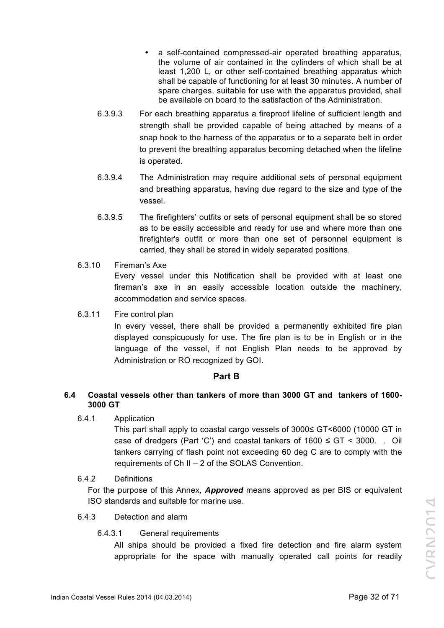- a self-contained compressed-air operated breathing apparatus, the volume of air contained in the cylinders of which shall be at least 1,200 L, or other self-contained breathing apparatus which shall be capable of functioning for at least 30 minutes. A number of spare charges, suitable for use with the apparatus provided, shall be available on board to the satisfaction of the Administration.
- 6.3.9.3 For each breathing apparatus a fireproof lifeline of sufficient length and strength shall be provided capable of being attached by means of a snap hook to the harness of the apparatus or to a separate belt in order to prevent the breathing apparatus becoming detached when the lifeline is operated.
- 6.3.9.4 The Administration may require additional sets of personal equipment and breathing apparatus, having due regard to the size and type of the vessel.
- 6.3.9.5 The firefighters' outfits or sets of personal equipment shall be so stored as to be easily accessible and ready for use and where more than one firefighter's outfit or more than one set of personnel equipment is carried, they shall be stored in widely separated positions.
- 6.3.10 Fireman's Axe

Every vessel under this Notification shall be provided with at least one fireman's axe in an easily accessible location outside the machinery, accommodation and service spaces.

6.3.11 Fire control plan

In every vessel, there shall be provided a permanently exhibited fire plan displayed conspicuously for use. The fire plan is to be in English or in the language of the vessel, if not English Plan needs to be approved by Administration or RO recognized by GOI.

# **Part B**

# **6.4 Coastal vessels other than tankers of more than 3000 GT and tankers of 1600- 3000 GT**

6.4.1 Application

This part shall apply to coastal cargo vessels of 3000≤ GT<6000 (10000 GT in case of dredgers (Part 'C') and coastal tankers of  $1600 \le GT \le 3000$ . . Oil tankers carrying of flash point not exceeding 60 deg C are to comply with the requirements of Ch II – 2 of the SOLAS Convention.

6.4.2 Definitions

For the purpose of this Annex, *Approved* means approved as per BIS or equivalent ISO standards and suitable for marine use.

- 6.4.3 Detection and alarm
	- 6.4.3.1 General requirements

All ships should be provided a fixed fire detection and fire alarm system appropriate for the space with manually operated call points for readily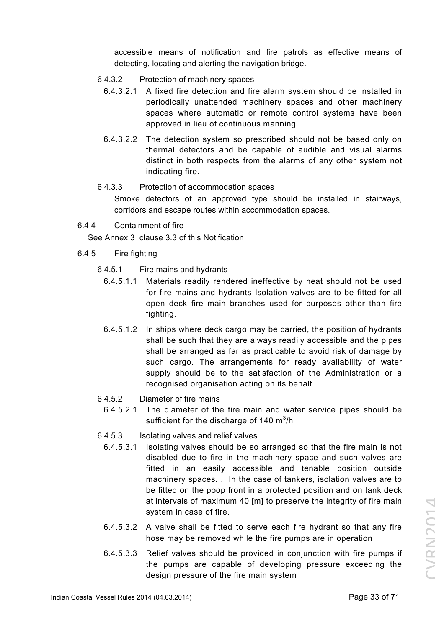accessible means of notification and fire patrols as effective means of detecting, locating and alerting the navigation bridge.

- 6.4.3.2 Protection of machinery spaces
	- 6.4.3.2.1 A fixed fire detection and fire alarm system should be installed in periodically unattended machinery spaces and other machinery spaces where automatic or remote control systems have been approved in lieu of continuous manning.
	- 6.4.3.2.2 The detection system so prescribed should not be based only on thermal detectors and be capable of audible and visual alarms distinct in both respects from the alarms of any other system not indicating fire.

# 6.4.3.3 Protection of accommodation spaces

Smoke detectors of an approved type should be installed in stairways, corridors and escape routes within accommodation spaces.

6.4.4 Containment of fire

See Annex 3 clause 3.3 of this Notification

- 6.4.5 Fire fighting
	- 6.4.5.1 Fire mains and hydrants
		- 6.4.5.1.1 Materials readily rendered ineffective by heat should not be used for fire mains and hydrants Isolation valves are to be fitted for all open deck fire main branches used for purposes other than fire fighting.
		- 6.4.5.1.2 In ships where deck cargo may be carried, the position of hydrants shall be such that they are always readily accessible and the pipes shall be arranged as far as practicable to avoid risk of damage by such cargo. The arrangements for ready availability of water supply should be to the satisfaction of the Administration or a recognised organisation acting on its behalf
	- 6.4.5.2 Diameter of fire mains
		- 6.4.5.2.1 The diameter of the fire main and water service pipes should be sufficient for the discharge of 140 m $^3$ /h
	- 6.4.5.3 Isolating valves and relief valves
		- 6.4.5.3.1 Isolating valves should be so arranged so that the fire main is not disabled due to fire in the machinery space and such valves are fitted in an easily accessible and tenable position outside machinery spaces. . In the case of tankers, isolation valves are to be fitted on the poop front in a protected position and on tank deck at intervals of maximum 40 [m] to preserve the integrity of fire main system in case of fire.
		- 6.4.5.3.2 A valve shall be fitted to serve each fire hydrant so that any fire hose may be removed while the fire pumps are in operation
		- 6.4.5.3.3 Relief valves should be provided in conjunction with fire pumps if the pumps are capable of developing pressure exceeding the design pressure of the fire main system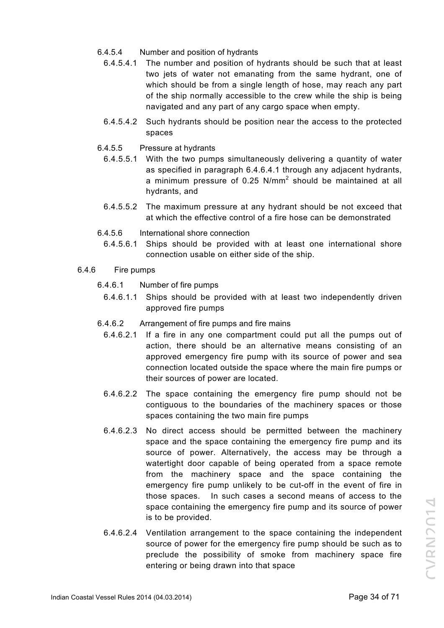- 6.4.5.4 Number and position of hydrants
	- 6.4.5.4.1 The number and position of hydrants should be such that at least two jets of water not emanating from the same hydrant, one of which should be from a single length of hose, may reach any part of the ship normally accessible to the crew while the ship is being navigated and any part of any cargo space when empty.
	- 6.4.5.4.2 Such hydrants should be position near the access to the protected spaces
- 6.4.5.5 Pressure at hydrants
	- 6.4.5.5.1 With the two pumps simultaneously delivering a quantity of water as specified in paragraph 6.4.6.4.1 through any adjacent hydrants, a minimum pressure of 0.25 N/mm<sup>2</sup> should be maintained at all hydrants, and
	- 6.4.5.5.2 The maximum pressure at any hydrant should be not exceed that at which the effective control of a fire hose can be demonstrated
- 6.4.5.6 International shore connection
	- 6.4.5.6.1 Ships should be provided with at least one international shore connection usable on either side of the ship.
- 6.4.6 Fire pumps
	- 6.4.6.1 Number of fire pumps
		- 6.4.6.1.1 Ships should be provided with at least two independently driven approved fire pumps
	- 6.4.6.2 Arrangement of fire pumps and fire mains
		- 6.4.6.2.1 If a fire in any one compartment could put all the pumps out of action, there should be an alternative means consisting of an approved emergency fire pump with its source of power and sea connection located outside the space where the main fire pumps or their sources of power are located.
		- 6.4.6.2.2 The space containing the emergency fire pump should not be contiguous to the boundaries of the machinery spaces or those spaces containing the two main fire pumps
		- 6.4.6.2.3 No direct access should be permitted between the machinery space and the space containing the emergency fire pump and its source of power. Alternatively, the access may be through a watertight door capable of being operated from a space remote from the machinery space and the space containing the emergency fire pump unlikely to be cut-off in the event of fire in those spaces. In such cases a second means of access to the space containing the emergency fire pump and its source of power is to be provided.
		- 6.4.6.2.4 Ventilation arrangement to the space containing the independent source of power for the emergency fire pump should be such as to preclude the possibility of smoke from machinery space fire entering or being drawn into that space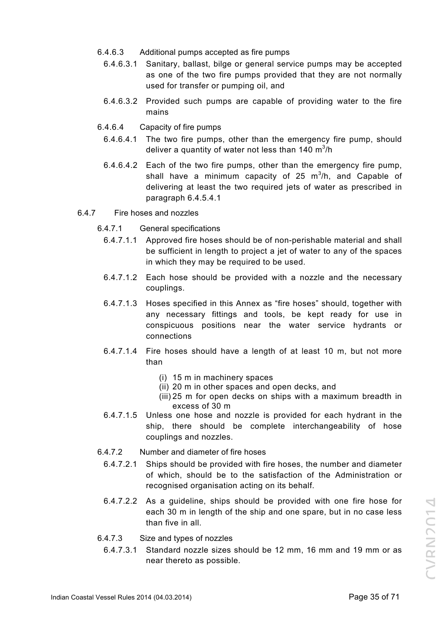- 6.4.6.3 Additional pumps accepted as fire pumps
	- 6.4.6.3.1 Sanitary, ballast, bilge or general service pumps may be accepted as one of the two fire pumps provided that they are not normally used for transfer or pumping oil, and
	- 6.4.6.3.2 Provided such pumps are capable of providing water to the fire mains
- 6.4.6.4 Capacity of fire pumps
	- 6.4.6.4.1 The two fire pumps, other than the emergency fire pump, should deliver a quantity of water not less than 140 m $^3$ /h
	- 6.4.6.4.2 Each of the two fire pumps, other than the emergency fire pump, shall have a minimum capacity of 25  $m^3/h$ , and Capable of delivering at least the two required jets of water as prescribed in paragraph 6.4.5.4.1
- 6.4.7 Fire hoses and nozzles
	- 6.4.7.1 General specifications
		- 6.4.7.1.1 Approved fire hoses should be of non-perishable material and shall be sufficient in length to project a jet of water to any of the spaces in which they may be required to be used.
		- 6.4.7.1.2 Each hose should be provided with a nozzle and the necessary couplings.
		- 6.4.7.1.3 Hoses specified in this Annex as "fire hoses" should, together with any necessary fittings and tools, be kept ready for use in conspicuous positions near the water service hydrants or connections
		- 6.4.7.1.4 Fire hoses should have a length of at least 10 m, but not more than
			- (i) 15 m in machinery spaces
			- (ii) 20 m in other spaces and open decks, and
			- (iii) 25 m for open decks on ships with a maximum breadth in excess of 30 m
		- 6.4.7.1.5 Unless one hose and nozzle is provided for each hydrant in the ship, there should be complete interchangeability of hose couplings and nozzles.
	- 6.4.7.2 Number and diameter of fire hoses
		- 6.4.7.2.1 Ships should be provided with fire hoses, the number and diameter of which, should be to the satisfaction of the Administration or recognised organisation acting on its behalf.
		- 6.4.7.2.2 As a guideline, ships should be provided with one fire hose for each 30 m in length of the ship and one spare, but in no case less than five in all.
	- 6.4.7.3 Size and types of nozzles
		- 6.4.7.3.1 Standard nozzle sizes should be 12 mm, 16 mm and 19 mm or as near thereto as possible.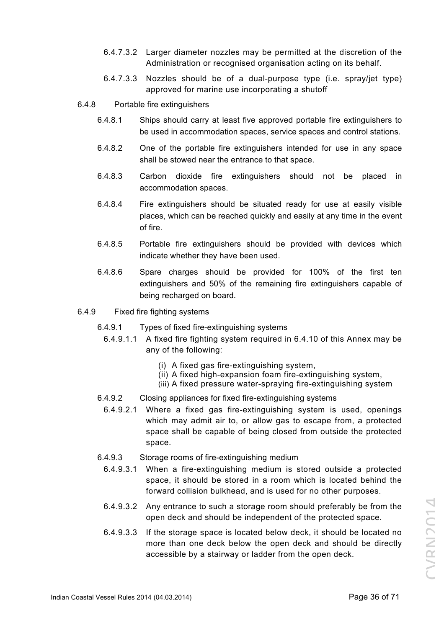- 6.4.7.3.2 Larger diameter nozzles may be permitted at the discretion of the Administration or recognised organisation acting on its behalf.
- 6.4.7.3.3 Nozzles should be of a dual-purpose type (i.e. spray/jet type) approved for marine use incorporating a shutoff
- 6.4.8 Portable fire extinguishers
	- 6.4.8.1 Ships should carry at least five approved portable fire extinguishers to be used in accommodation spaces, service spaces and control stations.
	- 6.4.8.2 One of the portable fire extinguishers intended for use in any space shall be stowed near the entrance to that space.
	- 6.4.8.3 Carbon dioxide fire extinguishers should not be placed in accommodation spaces.
	- 6.4.8.4 Fire extinguishers should be situated ready for use at easily visible places, which can be reached quickly and easily at any time in the event of fire.
	- 6.4.8.5 Portable fire extinguishers should be provided with devices which indicate whether they have been used.
	- 6.4.8.6 Spare charges should be provided for 100% of the first ten extinguishers and 50% of the remaining fire extinguishers capable of being recharged on board.
- 6.4.9 Fixed fire fighting systems
	- 6.4.9.1 Types of fixed fire-extinguishing systems
		- 6.4.9.1.1 A fixed fire fighting system required in 6.4.10 of this Annex may be any of the following:
			- (i) A fixed gas fire-extinguishing system,
			- (ii) A fixed high-expansion foam fire-extinguishing system,
			- (iii) A fixed pressure water-spraying fire-extinguishing system
	- 6.4.9.2 Closing appliances for fixed fire-extinguishing systems
		- 6.4.9.2.1 Where a fixed gas fire-extinguishing system is used, openings which may admit air to, or allow gas to escape from, a protected space shall be capable of being closed from outside the protected space.
	- 6.4.9.3 Storage rooms of fire-extinguishing medium
		- 6.4.9.3.1 When a fire-extinguishing medium is stored outside a protected space, it should be stored in a room which is located behind the forward collision bulkhead, and is used for no other purposes.
		- 6.4.9.3.2 Any entrance to such a storage room should preferably be from the open deck and should be independent of the protected space.
		- 6.4.9.3.3 If the storage space is located below deck, it should be located no more than one deck below the open deck and should be directly accessible by a stairway or ladder from the open deck.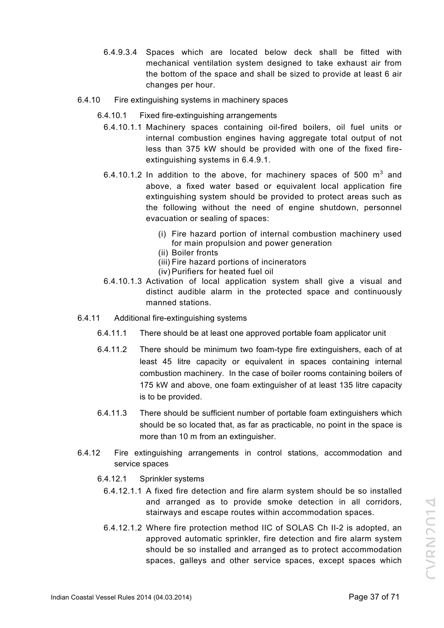- 6.4.9.3.4 Spaces which are located below deck shall be fitted with mechanical ventilation system designed to take exhaust air from the bottom of the space and shall be sized to provide at least 6 air changes per hour.
- 6.4.10 Fire extinguishing systems in machinery spaces
	- 6.4.10.1 Fixed fire-extinguishing arrangements
		- 6.4.10.1.1 Machinery spaces containing oil-fired boilers, oil fuel units or internal combustion engines having aggregate total output of not less than 375 kW should be provided with one of the fixed fireextinguishing systems in 6.4.9.1.
		- 6.4.10.1.2 In addition to the above, for machinery spaces of 500  $m^3$  and above, a fixed water based or equivalent local application fire extinguishing system should be provided to protect areas such as the following without the need of engine shutdown, personnel evacuation or sealing of spaces:
			- (i) Fire hazard portion of internal combustion machinery used for main propulsion and power generation
			- (ii) Boiler fronts
			- (iii) Fire hazard portions of incinerators
			- (iv) Purifiers for heated fuel oil
		- 6.4.10.1.3 Activation of local application system shall give a visual and distinct audible alarm in the protected space and continuously manned stations.
- 6.4.11 Additional fire-extinguishing systems
	- 6.4.11.1 There should be at least one approved portable foam applicator unit
	- 6.4.11.2 There should be minimum two foam-type fire extinguishers, each of at least 45 litre capacity or equivalent in spaces containing internal combustion machinery. In the case of boiler rooms containing boilers of 175 kW and above, one foam extinguisher of at least 135 litre capacity is to be provided.
	- 6.4.11.3 There should be sufficient number of portable foam extinguishers which should be so located that, as far as practicable, no point in the space is more than 10 m from an extinguisher.
- 6.4.12 Fire extinguishing arrangements in control stations, accommodation and service spaces
	- 6.4.12.1 Sprinkler systems
		- 6.4.12.1.1 A fixed fire detection and fire alarm system should be so installed and arranged as to provide smoke detection in all corridors, stairways and escape routes within accommodation spaces.
		- 6.4.12.1.2 Where fire protection method IIC of SOLAS Ch II-2 is adopted, an approved automatic sprinkler, fire detection and fire alarm system should be so installed and arranged as to protect accommodation spaces, galleys and other service spaces, except spaces which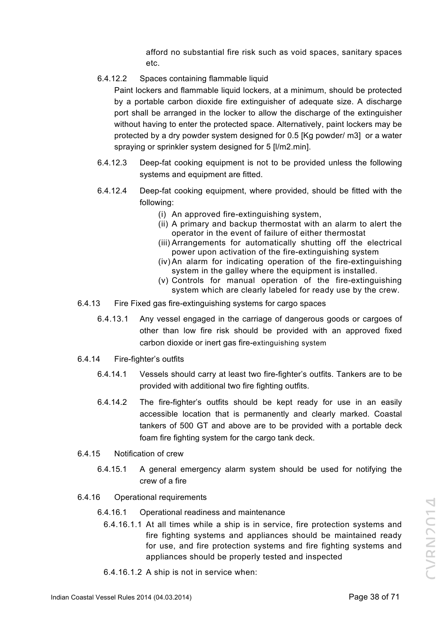afford no substantial fire risk such as void spaces, sanitary spaces etc.

6.4.12.2 Spaces containing flammable liquid

Paint lockers and flammable liquid lockers, at a minimum, should be protected by a portable carbon dioxide fire extinguisher of adequate size. A discharge port shall be arranged in the locker to allow the discharge of the extinguisher without having to enter the protected space. Alternatively, paint lockers may be protected by a dry powder system designed for 0.5 [Kg powder/ m3] or a water spraying or sprinkler system designed for 5 [l/m2.min].

- 6.4.12.3 Deep-fat cooking equipment is not to be provided unless the following systems and equipment are fitted.
- 6.4.12.4 Deep-fat cooking equipment, where provided, should be fitted with the following:
	- (i) An approved fire-extinguishing system,
	- (ii) A primary and backup thermostat with an alarm to alert the operator in the event of failure of either thermostat
	- (iii) Arrangements for automatically shutting off the electrical power upon activation of the fire-extinguishing system
	- (iv) An alarm for indicating operation of the fire-extinguishing system in the galley where the equipment is installed.
	- (v) Controls for manual operation of the fire-extinguishing system which are clearly labeled for ready use by the crew.
- 6.4.13 Fire Fixed gas fire-extinguishing systems for cargo spaces
	- 6.4.13.1 Any vessel engaged in the carriage of dangerous goods or cargoes of other than low fire risk should be provided with an approved fixed carbon dioxide or inert gas fire-extinguishing system
- 6.4.14 Fire-fighter's outfits
	- 6.4.14.1 Vessels should carry at least two fire-fighter's outfits. Tankers are to be provided with additional two fire fighting outfits.
	- 6.4.14.2 The fire-fighter's outfits should be kept ready for use in an easily accessible location that is permanently and clearly marked. Coastal tankers of 500 GT and above are to be provided with a portable deck foam fire fighting system for the cargo tank deck.
- 6.4.15 Notification of crew
	- 6.4.15.1 A general emergency alarm system should be used for notifying the crew of a fire
- 6.4.16 Operational requirements
	- 6.4.16.1 Operational readiness and maintenance
		- 6.4.16.1.1 At all times while a ship is in service, fire protection systems and fire fighting systems and appliances should be maintained ready for use, and fire protection systems and fire fighting systems and appliances should be properly tested and inspected
		- 6.4.16.1.2 A ship is not in service when: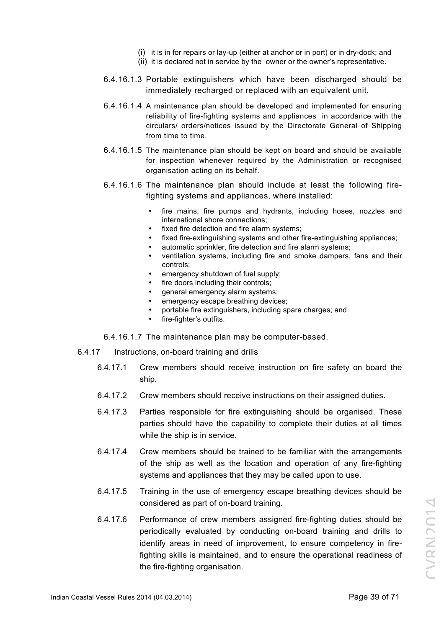- (i) it is in for repairs or lay-up (either at anchor or in port) or in dry-dock; and
- (ii) it is declared not in service by the owner or the owner's representative.
- 6.4.16.1.3 Portable extinguishers which have been discharged should be immediately recharged or replaced with an equivalent unit.
- 6.4.16.1.4 A maintenance plan should be developed and implemented for ensuring reliability of fire-fighting systems and appliances in accordance with the circulars/ orders/notices issued by the Directorate General of Shipping from time to time.
- 6.4.16.1.5 The maintenance plan should be kept on board and should be available for inspection whenever required by the Administration or recognised organisation acting on its behalf.
- 6.4.16.1.6 The maintenance plan should include at least the following firefighting systems and appliances, where installed:
	- fire mains, fire pumps and hydrants, including hoses, nozzles and international shore connections;
	- fixed fire detection and fire alarm systems;
	- fixed fire-extinguishing systems and other fire-extinguishing appliances;
	- automatic sprinkler, fire detection and fire alarm systems;
	- ventilation systems, including fire and smoke dampers, fans and their controls;
	- emergency shutdown of fuel supply;
	- fire doors including their controls:
	- general emergency alarm systems;
	- emergency escape breathing devices;
	- portable fire extinguishers, including spare charges; and
	- fire-fighter's outfits.
- 6.4.16.1.7 The maintenance plan may be computer-based.
- 6.4.17 Instructions, on-board training and drills
	- 6.4.17.1 Crew members should receive instruction on fire safety on board the ship.
	- 6.4.17.2 Crew members should receive instructions on their assigned duties**.**
	- 6.4.17.3 Parties responsible for fire extinguishing should be organised. These parties should have the capability to complete their duties at all times while the ship is in service.
	- 6.4.17.4 Crew members should be trained to be familiar with the arrangements of the ship as well as the location and operation of any fire-fighting systems and appliances that they may be called upon to use.
	- 6.4.17.5 Training in the use of emergency escape breathing devices should be considered as part of on-board training.
	- 6.4.17.6 Performance of crew members assigned fire-fighting duties should be periodically evaluated by conducting on-board training and drills to identify areas in need of improvement, to ensure competency in firefighting skills is maintained, and to ensure the operational readiness of the fire-fighting organisation.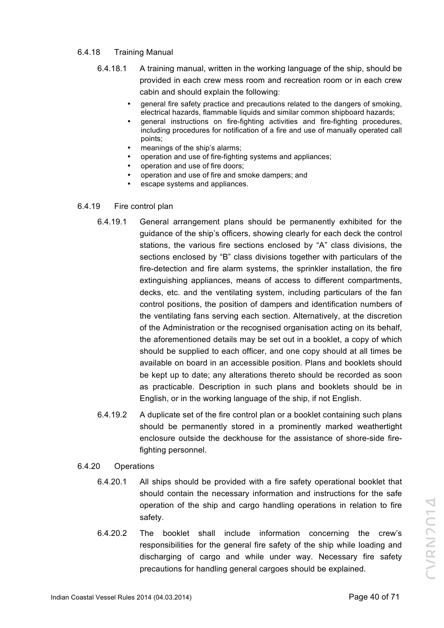#### 6.4.18 Training Manual

- 6.4.18.1 A training manual, written in the working language of the ship, should be provided in each crew mess room and recreation room or in each crew cabin and should explain the following:
	- general fire safety practice and precautions related to the dangers of smoking, electrical hazards, flammable liquids and similar common shipboard hazards;
	- general instructions on fire-fighting activities and fire-fighting procedures, including procedures for notification of a fire and use of manually operated call points;
	- meanings of the ship's alarms;
	- operation and use of fire-fighting systems and appliances;
	- operation and use of fire doors;
	- operation and use of fire and smoke dampers; and
	- escape systems and appliances.

#### 6.4.19 Fire control plan

- 6.4.19.1 General arrangement plans should be permanently exhibited for the guidance of the ship's officers, showing clearly for each deck the control stations, the various fire sections enclosed by "A" class divisions, the sections enclosed by "B" class divisions together with particulars of the fire-detection and fire alarm systems, the sprinkler installation, the fire extinguishing appliances, means of access to different compartments, decks, etc. and the ventilating system, including particulars of the fan control positions, the position of dampers and identification numbers of the ventilating fans serving each section. Alternatively, at the discretion of the Administration or the recognised organisation acting on its behalf, the aforementioned details may be set out in a booklet, a copy of which should be supplied to each officer, and one copy should at all times be available on board in an accessible position. Plans and booklets should be kept up to date; any alterations thereto should be recorded as soon as practicable. Description in such plans and booklets should be in English, or in the working language of the ship, if not English.
- 6.4.19.2 A duplicate set of the fire control plan or a booklet containing such plans should be permanently stored in a prominently marked weathertight enclosure outside the deckhouse for the assistance of shore-side firefighting personnel.

## 6.4.20 Operations

- 6.4.20.1 All ships should be provided with a fire safety operational booklet that should contain the necessary information and instructions for the safe operation of the ship and cargo handling operations in relation to fire safety.
- 6.4.20.2 The booklet shall include information concerning the crew's responsibilities for the general fire safety of the ship while loading and discharging of cargo and while under way. Necessary fire safety precautions for handling general cargoes should be explained.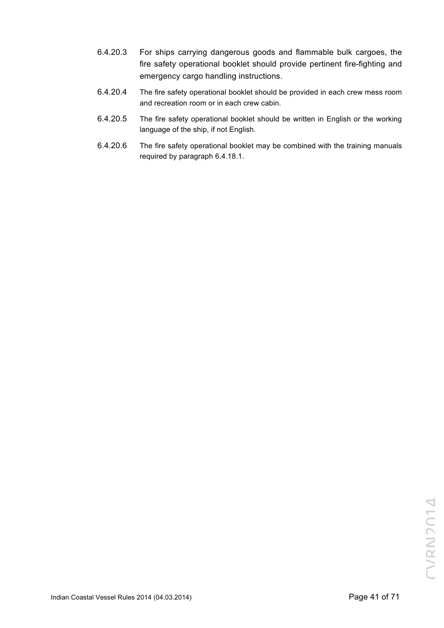- 6.4.20.3 For ships carrying dangerous goods and flammable bulk cargoes, the fire safety operational booklet should provide pertinent fire-fighting and emergency cargo handling instructions.
- 6.4.20.4 The fire safety operational booklet should be provided in each crew mess room and recreation room or in each crew cabin.
- 6.4.20.5 The fire safety operational booklet should be written in English or the working language of the ship, if not English.
- 6.4.20.6 The fire safety operational booklet may be combined with the training manuals required by paragraph 6.4.18.1.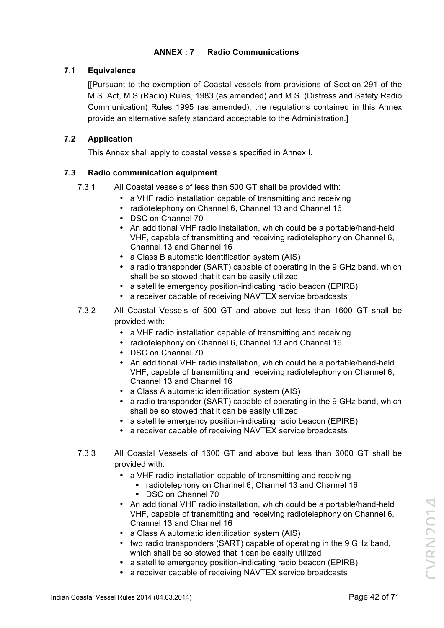# **ANNEX : 7 Radio Communications**

## **7.1 Equivalence**

[[Pursuant to the exemption of Coastal vessels from provisions of Section 291 of the M.S. Act, M.S (Radio) Rules, 1983 (as amended) and M.S. (Distress and Safety Radio Communication) Rules 1995 (as amended), the regulations contained in this Annex provide an alternative safety standard acceptable to the Administration.]

# **7.2 Application**

This Annex shall apply to coastal vessels specified in Annex I.

# **7.3 Radio communication equipment**

- 7.3.1 All Coastal vessels of less than 500 GT shall be provided with:
	- a VHF radio installation capable of transmitting and receiving
	- radiotelephony on Channel 6, Channel 13 and Channel 16
	- DSC on Channel 70
	- An additional VHF radio installation, which could be a portable/hand-held VHF, capable of transmitting and receiving radiotelephony on Channel 6, Channel 13 and Channel 16
	- a Class B automatic identification system (AIS)
	- a radio transponder (SART) capable of operating in the 9 GHz band, which shall be so stowed that it can be easily utilized
	- a satellite emergency position-indicating radio beacon (EPIRB)
	- a receiver capable of receiving NAVTEX service broadcasts
- 7.3.2 All Coastal Vessels of 500 GT and above but less than 1600 GT shall be provided with:
	- a VHF radio installation capable of transmitting and receiving
	- radiotelephony on Channel 6, Channel 13 and Channel 16
	- DSC on Channel 70
	- An additional VHF radio installation, which could be a portable/hand-held VHF, capable of transmitting and receiving radiotelephony on Channel 6, Channel 13 and Channel 16
	- a Class A automatic identification system (AIS)
	- a radio transponder (SART) capable of operating in the 9 GHz band, which shall be so stowed that it can be easily utilized
	- a satellite emergency position-indicating radio beacon (EPIRB)
	- a receiver capable of receiving NAVTEX service broadcasts
- 7.3.3 All Coastal Vessels of 1600 GT and above but less than 6000 GT shall be provided with:
	- a VHF radio installation capable of transmitting and receiving
		- § radiotelephony on Channel 6, Channel 13 and Channel 16
		- § DSC on Channel 70
	- An additional VHF radio installation, which could be a portable/hand-held VHF, capable of transmitting and receiving radiotelephony on Channel 6, Channel 13 and Channel 16
	- a Class A automatic identification system (AIS)
	- two radio transponders (SART) capable of operating in the 9 GHz band, which shall be so stowed that it can be easily utilized
	- a satellite emergency position-indicating radio beacon (EPIRB)
	- a receiver capable of receiving NAVTEX service broadcasts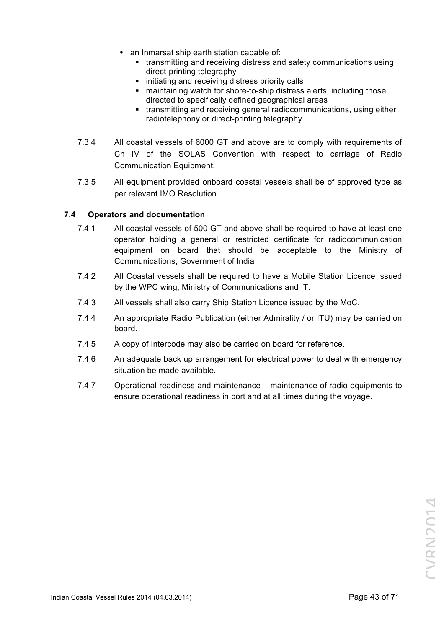- an Inmarsat ship earth station capable of:
	- transmitting and receiving distress and safety communications using direct-printing telegraphy
	- initiating and receiving distress priority calls
	- maintaining watch for shore-to-ship distress alerts, including those directed to specifically defined geographical areas
	- transmitting and receiving general radiocommunications, using either radiotelephony or direct-printing telegraphy
- 7.3.4 All coastal vessels of 6000 GT and above are to comply with requirements of Ch IV of the SOLAS Convention with respect to carriage of Radio Communication Equipment.
- 7.3.5 All equipment provided onboard coastal vessels shall be of approved type as per relevant IMO Resolution.

# **7.4 Operators and documentation**

- 7.4.1 All coastal vessels of 500 GT and above shall be required to have at least one operator holding a general or restricted certificate for radiocommunication equipment on board that should be acceptable to the Ministry of Communications, Government of India
- 7.4.2 All Coastal vessels shall be required to have a Mobile Station Licence issued by the WPC wing, Ministry of Communications and IT.
- 7.4.3 All vessels shall also carry Ship Station Licence issued by the MoC.
- 7.4.4 An appropriate Radio Publication (either Admirality / or ITU) may be carried on board.
- 7.4.5 A copy of Intercode may also be carried on board for reference.
- 7.4.6 An adequate back up arrangement for electrical power to deal with emergency situation be made available.
- 7.4.7 Operational readiness and maintenance maintenance of radio equipments to ensure operational readiness in port and at all times during the voyage.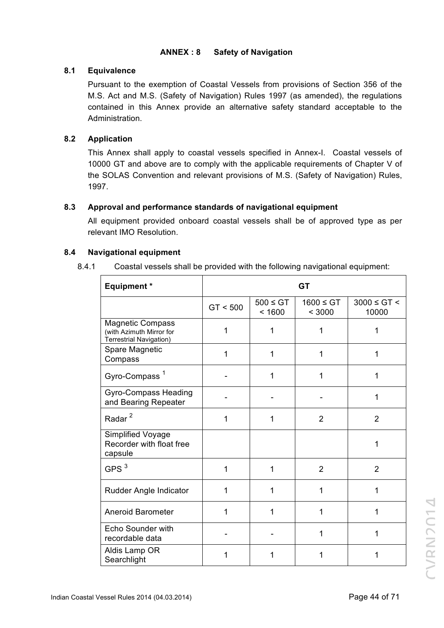# **ANNEX : 8 Safety of Navigation**

## **8.1 Equivalence**

Pursuant to the exemption of Coastal Vessels from provisions of Section 356 of the M.S. Act and M.S. (Safety of Navigation) Rules 1997 (as amended), the regulations contained in this Annex provide an alternative safety standard acceptable to the Administration.

# **8.2 Application**

This Annex shall apply to coastal vessels specified in Annex-I. Coastal vessels of 10000 GT and above are to comply with the applicable requirements of Chapter V of the SOLAS Convention and relevant provisions of M.S. (Safety of Navigation) Rules, 1997.

# **8.3 Approval and performance standards of navigational equipment**

All equipment provided onboard coastal vessels shall be of approved type as per relevant IMO Resolution.

# **8.4 Navigational equipment**

8.4.1 Coastal vessels shall be provided with the following navigational equipment:

| <b>Equipment *</b>                                                                    | <b>GT</b> |                         |                          |                           |
|---------------------------------------------------------------------------------------|-----------|-------------------------|--------------------------|---------------------------|
|                                                                                       | GT < 500  | $500 \leq GT$<br>< 1600 | $1600 \leq GT$<br>< 3000 | $3000 \le G T$ <<br>10000 |
| <b>Magnetic Compass</b><br>(with Azimuth Mirror for<br><b>Terrestrial Navigation)</b> | 1         | 1                       | 1                        | 1                         |
| Spare Magnetic<br>Compass                                                             | 1         | 1                       | 1                        | 1                         |
| Gyro-Compass <sup>1</sup>                                                             |           | 1                       | 1                        | 1                         |
| <b>Gyro-Compass Heading</b><br>and Bearing Repeater                                   |           |                         |                          | 1                         |
| Radar <sup>2</sup>                                                                    | 1         | 1                       | $\overline{2}$           | $\overline{2}$            |
| Simplified Voyage<br>Recorder with float free<br>capsule                              |           |                         |                          | 1                         |
| GPS $3$                                                                               | 1         | 1                       | $\overline{2}$           | $\overline{2}$            |
| Rudder Angle Indicator                                                                | 1         | 1                       | 1                        | 1                         |
| <b>Aneroid Barometer</b>                                                              | 1         | 1                       | 1                        | 1                         |
| Echo Sounder with<br>recordable data                                                  |           |                         | 1                        | 1                         |
| Aldis Lamp OR<br>Searchlight                                                          | 1         | 1                       | 1                        | 1                         |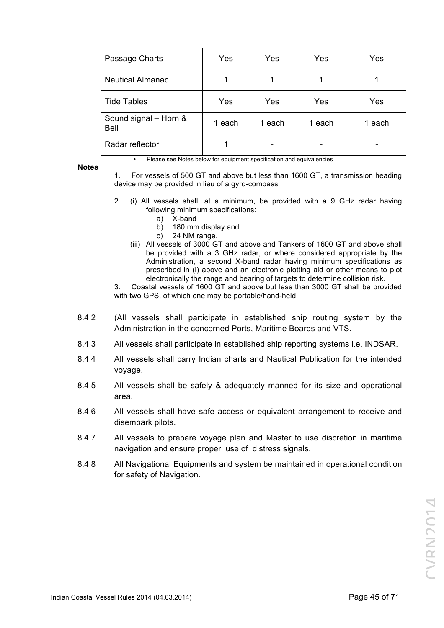| Passage Charts                       | Yes    | Yes    | Yes    | Yes    |
|--------------------------------------|--------|--------|--------|--------|
| <b>Nautical Almanac</b>              | 1      |        |        |        |
| <b>Tide Tables</b>                   | Yes    | Yes    | Yes    | Yes    |
| Sound signal - Horn &<br><b>Bell</b> | 1 each | 1 each | 1 each | 1 each |
| Radar reflector                      |        |        |        |        |

**Notes**

• Please see Notes below for equipment specification and equivalencies

- 1. For vessels of 500 GT and above but less than 1600 GT, a transmission heading device may be provided in lieu of a gyro-compass
- 2 (i) All vessels shall, at a minimum, be provided with a 9 GHz radar having following minimum specifications:
	- a) X-band
	- b) 180 mm display and
	- c) 24 NM range.
	- (iii) All vessels of 3000 GT and above and Tankers of 1600 GT and above shall be provided with a 3 GHz radar, or where considered appropriate by the Administration, a second X-band radar having minimum specifications as prescribed in (i) above and an electronic plotting aid or other means to plot electronically the range and bearing of targets to determine collision risk.

3. Coastal vessels of 1600 GT and above but less than 3000 GT shall be provided with two GPS, of which one may be portable/hand-held.

- 8.4.2 (All vessels shall participate in established ship routing system by the Administration in the concerned Ports, Maritime Boards and VTS.
- 8.4.3 All vessels shall participate in established ship reporting systems i.e. INDSAR.
- 8.4.4 All vessels shall carry Indian charts and Nautical Publication for the intended voyage.
- 8.4.5 All vessels shall be safely & adequately manned for its size and operational area.
- 8.4.6 All vessels shall have safe access or equivalent arrangement to receive and disembark pilots.
- 8.4.7 All vessels to prepare voyage plan and Master to use discretion in maritime navigation and ensure proper use of distress signals.
- 8.4.8 All Navigational Equipments and system be maintained in operational condition for safety of Navigation.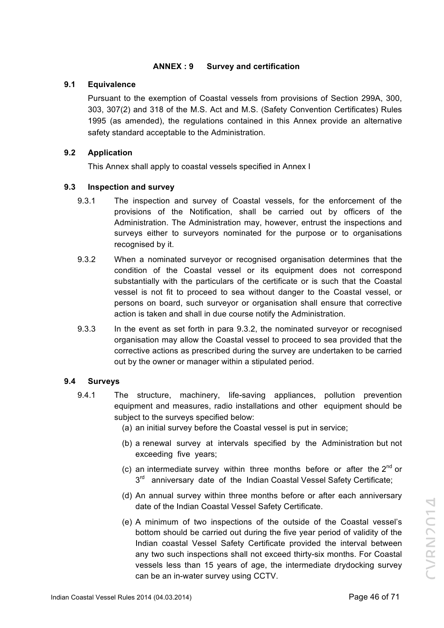## **ANNEX : 9 Survey and certification**

## **9.1 Equivalence**

Pursuant to the exemption of Coastal vessels from provisions of Section 299A, 300, 303, 307(2) and 318 of the M.S. Act and M.S. (Safety Convention Certificates) Rules 1995 (as amended), the regulations contained in this Annex provide an alternative safety standard acceptable to the Administration.

# **9.2 Application**

This Annex shall apply to coastal vessels specified in Annex I

# **9.3 Inspection and survey**

- 9.3.1 The inspection and survey of Coastal vessels, for the enforcement of the provisions of the Notification, shall be carried out by officers of the Administration. The Administration may, however, entrust the inspections and surveys either to surveyors nominated for the purpose or to organisations recognised by it.
- 9.3.2 When a nominated surveyor or recognised organisation determines that the condition of the Coastal vessel or its equipment does not correspond substantially with the particulars of the certificate or is such that the Coastal vessel is not fit to proceed to sea without danger to the Coastal vessel, or persons on board, such surveyor or organisation shall ensure that corrective action is taken and shall in due course notify the Administration.
- 9.3.3 In the event as set forth in para 9.3.2, the nominated surveyor or recognised organisation may allow the Coastal vessel to proceed to sea provided that the corrective actions as prescribed during the survey are undertaken to be carried out by the owner or manager within a stipulated period.

## **9.4 Surveys**

- 9.4.1 The structure, machinery, life-saving appliances, pollution prevention equipment and measures, radio installations and other equipment should be subject to the surveys specified below:
	- (a) an initial survey before the Coastal vessel is put in service;
	- (b) a renewal survey at intervals specified by the Administration but not exceeding five years;
	- (c) an intermediate survey within three months before or after the  $2^{nd}$  or  $3<sup>rd</sup>$  anniversary date of the Indian Coastal Vessel Safety Certificate;
	- (d) An annual survey within three months before or after each anniversary date of the Indian Coastal Vessel Safety Certificate.
	- (e) A minimum of two inspections of the outside of the Coastal vessel's bottom should be carried out during the five year period of validity of the Indian coastal Vessel Safety Certificate provided the interval between any two such inspections shall not exceed thirty-six months. For Coastal vessels less than 15 years of age, the intermediate drydocking survey can be an in-water survey using CCTV.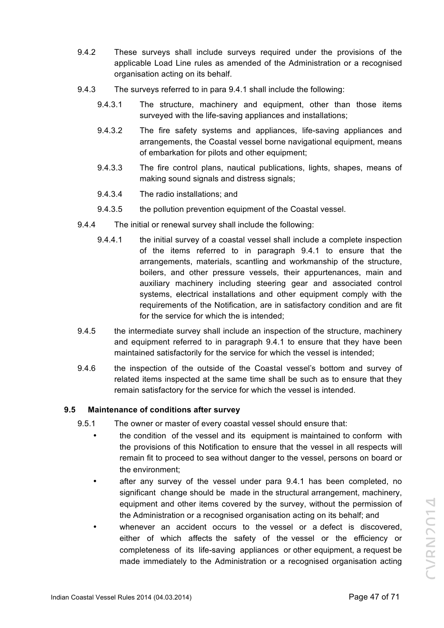- 9.4.2 These surveys shall include surveys required under the provisions of the applicable Load Line rules as amended of the Administration or a recognised organisation acting on its behalf.
- 9.4.3 The surveys referred to in para 9.4.1 shall include the following:
	- 9.4.3.1 The structure, machinery and equipment, other than those items surveyed with the life-saving appliances and installations;
	- 9.4.3.2 The fire safety systems and appliances, life-saving appliances and arrangements, the Coastal vessel borne navigational equipment, means of embarkation for pilots and other equipment;
	- 9.4.3.3 The fire control plans, nautical publications, lights, shapes, means of making sound signals and distress signals;
	- 9.4.3.4 The radio installations; and
	- 9.4.3.5 the pollution prevention equipment of the Coastal vessel.
- 9.4.4 The initial or renewal survey shall include the following:
	- 9.4.4.1 the initial survey of a coastal vessel shall include a complete inspection of the items referred to in paragraph 9.4.1 to ensure that the arrangements, materials, scantling and workmanship of the structure, boilers, and other pressure vessels, their appurtenances, main and auxiliary machinery including steering gear and associated control systems, electrical installations and other equipment comply with the requirements of the Notification, are in satisfactory condition and are fit for the service for which the is intended;
- 9.4.5 the intermediate survey shall include an inspection of the structure, machinery and equipment referred to in paragraph 9.4.1 to ensure that they have been maintained satisfactorily for the service for which the vessel is intended;
- 9.4.6 the inspection of the outside of the Coastal vessel's bottom and survey of related items inspected at the same time shall be such as to ensure that they remain satisfactory for the service for which the vessel is intended.

## **9.5 Maintenance of conditions after survey**

- 9.5.1 The owner or master of every coastal vessel should ensure that:
	- the condition of the vessel and its equipment is maintained to conform with the provisions of this Notification to ensure that the vessel in all respects will remain fit to proceed to sea without danger to the vessel, persons on board or the environment;
	- after any survey of the vessel under para 9.4.1 has been completed, no significant change should be made in the structural arrangement, machinery, equipment and other items covered by the survey, without the permission of the Administration or a recognised organisation acting on its behalf; and
	- whenever an accident occurs to the vessel or a defect is discovered. either of which affects the safety of the vessel or the efficiency or completeness of its life-saving appliances or other equipment, a request be made immediately to the Administration or a recognised organisation acting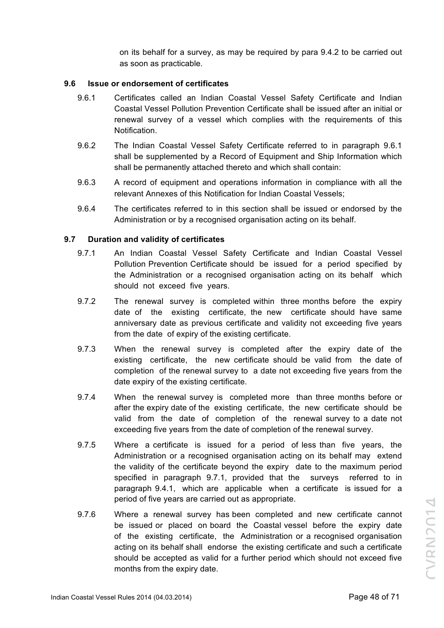on its behalf for a survey, as may be required by para 9.4.2 to be carried out as soon as practicable.

#### **9.6 Issue or endorsement of certificates**

- 9.6.1 Certificates called an Indian Coastal Vessel Safety Certificate and Indian Coastal Vessel Pollution Prevention Certificate shall be issued after an initial or renewal survey of a vessel which complies with the requirements of this **Notification**
- 9.6.2 The Indian Coastal Vessel Safety Certificate referred to in paragraph 9.6.1 shall be supplemented by a Record of Equipment and Ship Information which shall be permanently attached thereto and which shall contain:
- 9.6.3 A record of equipment and operations information in compliance with all the relevant Annexes of this Notification for Indian Coastal Vessels;
- 9.6.4 The certificates referred to in this section shall be issued or endorsed by the Administration or by a recognised organisation acting on its behalf.

#### **9.7 Duration and validity of certificates**

- 9.7.1 An Indian Coastal Vessel Safety Certificate and Indian Coastal Vessel Pollution Prevention Certificate should be issued for a period specified by the Administration or a recognised organisation acting on its behalf which should not exceed five years.
- 9.7.2 The renewal survey is completed within three months before the expiry date of the existing certificate, the new certificate should have same anniversary date as previous certificate and validity not exceeding five years from the date of expiry of the existing certificate.
- 9.7.3 When the renewal survey is completed after the expiry date of the existing certificate, the new certificate should be valid from the date of completion of the renewal survey to a date not exceeding five years from the date expiry of the existing certificate.
- 9.7.4 When the renewal survey is completed more than three months before or after the expiry date of the existing certificate, the new certificate should be valid from the date of completion of the renewal survey to a date not exceeding five years from the date of completion of the renewal survey.
- 9.7.5 Where a certificate is issued for a period of less than five years, the Administration or a recognised organisation acting on its behalf may extend the validity of the certificate beyond the expiry date to the maximum period specified in paragraph 9.7.1, provided that the surveys referred to in paragraph 9.4.1, which are applicable when a certificate is issued for a period of five years are carried out as appropriate.
- 9.7.6 Where a renewal survey has been completed and new certificate cannot be issued or placed on board the Coastal vessel before the expiry date of the existing certificate, the Administration or a recognised organisation acting on its behalf shall endorse the existing certificate and such a certificate should be accepted as valid for a further period which should not exceed five months from the expiry date.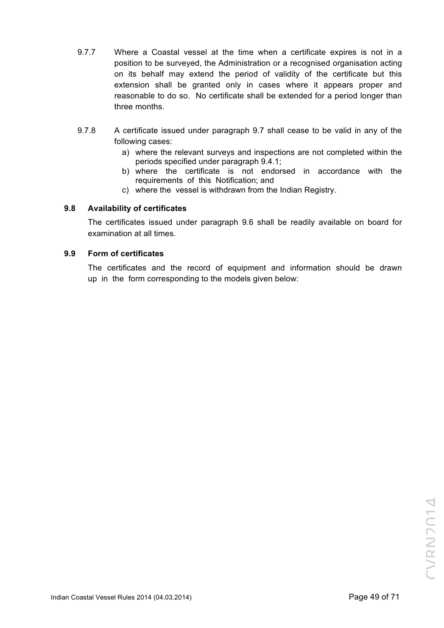- 9.7.7 Where a Coastal vessel at the time when a certificate expires is not in a position to be surveyed, the Administration or a recognised organisation acting on its behalf may extend the period of validity of the certificate but this extension shall be granted only in cases where it appears proper and reasonable to do so. No certificate shall be extended for a period longer than three months.
- 9.7.8 A certificate issued under paragraph 9.7 shall cease to be valid in any of the following cases:
	- a) where the relevant surveys and inspections are not completed within the periods specified under paragraph 9.4.1;
	- b) where the certificate is not endorsed in accordance with the requirements of this Notification; and
	- c) where the vessel is withdrawn from the Indian Registry.

# **9.8 Availability of certificates**

The certificates issued under paragraph 9.6 shall be readily available on board for examination at all times.

## **9.9 Form of certificates**

The certificates and the record of equipment and information should be drawn up in the form corresponding to the models given below: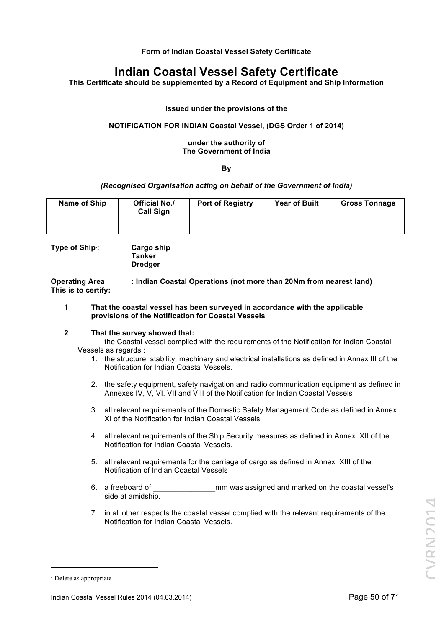**Form of Indian Coastal Vessel Safety Certificate**

# **Indian Coastal Vessel Safety Certificate**

**This Certificate should be supplemented by a Record of Equipment and Ship Information**

**Issued under the provisions of the**

#### **NOTIFICATION FOR INDIAN Coastal Vessel, (DGS Order 1 of 2014)**

#### **under the authority of The Government of India**

#### **By**

#### *(Recognised Organisation acting on behalf of the Government of India)*

| Name of Ship | <b>Official No./</b><br><b>Call Sign</b> | <b>Port of Registry</b> | <b>Year of Built</b> | <b>Gross Tonnage</b> |
|--------------|------------------------------------------|-------------------------|----------------------|----------------------|
|              |                                          |                         |                      |                      |

**Type of Ship**<sup>∗</sup>

**: Cargo ship Tanker Dredger**

**Operating Area : Indian Coastal Operations (not more than 20Nm from nearest land) This is to certify:**

**1 That the coastal vessel has been surveyed in accordance with the applicable provisions of the Notification for Coastal Vessels**

#### **2 That the survey showed that:**

the Coastal vessel complied with the requirements of the Notification for Indian Coastal Vessels as regards :

- 1. the structure, stability, machinery and electrical installations as defined in Annex III of the Notification for Indian Coastal Vessels.
- 2. the safety equipment, safety navigation and radio communication equipment as defined in Annexes IV, V, VI, VII and VIII of the Notification for Indian Coastal Vessels
- 3. all relevant requirements of the Domestic Safety Management Code as defined in Annex XI of the Notification for Indian Coastal Vessels
- 4. all relevant requirements of the Ship Security measures as defined in Annex XII of the Notification for Indian Coastal Vessels.
- 5. all relevant requirements for the carriage of cargo as defined in Annex XIII of the Notification of Indian Coastal Vessels
- 6. a freeboard of **come interest of the coastal vessel's** mm was assigned and marked on the coastal vessel's side at amidship.
- 7. in all other respects the coastal vessel complied with the relevant requirements of the Notification for Indian Coastal Vessels.

 $\overline{a}$ 

<sup>∗</sup> Delete as appropriate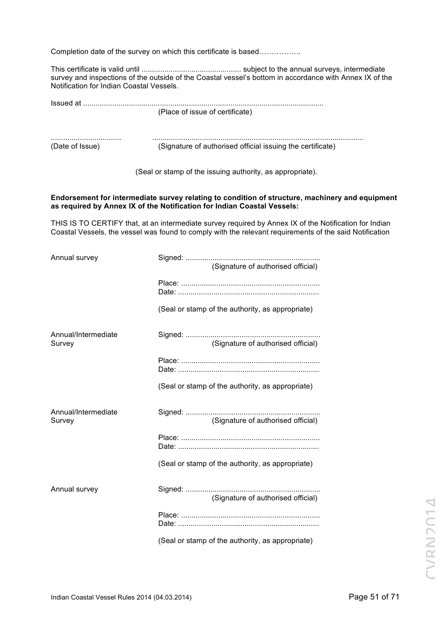Completion date of the survey on which this certificate is based……………..

This certificate is valid until ................................................ subject to the annual surveys, intermediate survey and inspections of the outside of the Coastal vessel's bottom in accordance with Annex IX of the Notification for Indian Coastal Vessels.

| lssued at       |                                                            |
|-----------------|------------------------------------------------------------|
|                 | (Place of issue of certificate)                            |
|                 |                                                            |
| (Date of Issue) | (Signature of authorised official issuing the certificate) |

(Seal or stamp of the issuing authority, as appropriate).

#### **Endorsement for intermediate survey relating to condition of structure, machinery and equipment as required by Annex IX of the Notification for Indian Coastal Vessels:**

THIS IS TO CERTIFY that, at an intermediate survey required by Annex IX of the Notification for Indian Coastal Vessels, the vessel was found to comply with the relevant requirements of the said Notification

| Annual survey                 |                                                  |
|-------------------------------|--------------------------------------------------|
|                               | (Signature of authorised official)               |
|                               |                                                  |
|                               |                                                  |
|                               | (Seal or stamp of the authority, as appropriate) |
| Annual/Intermediate<br>Survey | (Signature of authorised official)               |
|                               |                                                  |
|                               |                                                  |
|                               | (Seal or stamp of the authority, as appropriate) |
| Annual/Intermediate           |                                                  |
| Survey                        | (Signature of authorised official)               |
|                               |                                                  |
|                               | (Seal or stamp of the authority, as appropriate) |
| Annual survey                 | (Signature of authorised official)               |
|                               |                                                  |
|                               |                                                  |
|                               | (Seal or stamp of the authority, as appropriate) |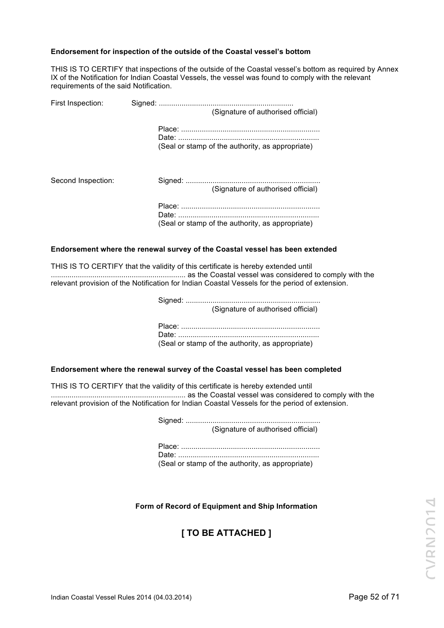#### **Endorsement for inspection of the outside of the Coastal vessel's bottom**

THIS IS TO CERTIFY that inspections of the outside of the Coastal vessel's bottom as required by Annex IX of the Notification for Indian Coastal Vessels, the vessel was found to comply with the relevant requirements of the said Notification.

| First Inspection:  | (Signature of authorised official)               |
|--------------------|--------------------------------------------------|
|                    | (Seal or stamp of the authority, as appropriate) |
| Second Inspection: | (Signature of authorised official)               |
|                    | (Seal or stamp of the authority, as appropriate) |

#### **Endorsement where the renewal survey of the Coastal vessel has been extended**

THIS IS TO CERTIFY that the validity of this certificate is hereby extended until ................................................................. as the Coastal vessel was considered to comply with the relevant provision of the Notification for Indian Coastal Vessels for the period of extension.

> Signed: ................................................................. (Signature of authorised official)

| (Seal or stamp of the authority, as appropriate) |
|--------------------------------------------------|

#### **Endorsement where the renewal survey of the Coastal vessel has been completed**

THIS IS TO CERTIFY that the validity of this certificate is hereby extended until ................................................................. as the Coastal vessel was considered to comply with the relevant provision of the Notification for Indian Coastal Vessels for the period of extension.

| (Signature of authorised official)               |
|--------------------------------------------------|
|                                                  |
|                                                  |
|                                                  |
| (Seal or stamp of the authority, as appropriate) |

## **Form of Record of Equipment and Ship Information**

# **[ TO BE ATTACHED ]**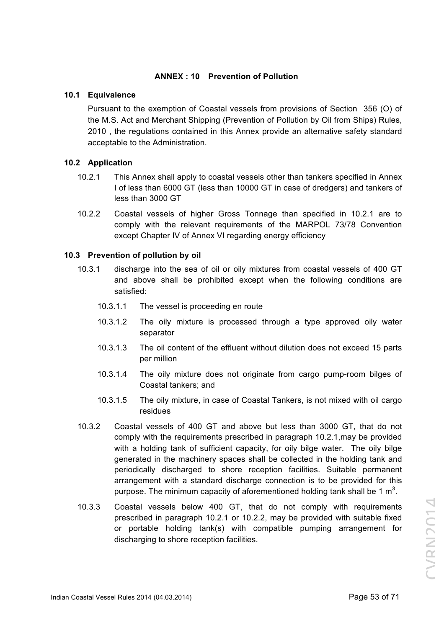## **ANNEX : 10 Prevention of Pollution**

#### **10.1 Equivalence**

Pursuant to the exemption of Coastal vessels from provisions of Section 356 (O) of the M.S. Act and Merchant Shipping (Prevention of Pollution by Oil from Ships) Rules, 2010 , the regulations contained in this Annex provide an alternative safety standard acceptable to the Administration.

# **10.2 Application**

- 10.2.1 This Annex shall apply to coastal vessels other than tankers specified in Annex I of less than 6000 GT (less than 10000 GT in case of dredgers) and tankers of less than 3000 GT
- 10.2.2 Coastal vessels of higher Gross Tonnage than specified in 10.2.1 are to comply with the relevant requirements of the MARPOL 73/78 Convention except Chapter IV of Annex VI regarding energy efficiency

## **10.3 Prevention of pollution by oil**

- 10.3.1 discharge into the sea of oil or oily mixtures from coastal vessels of 400 GT and above shall be prohibited except when the following conditions are satisfied:
	- 10.3.1.1 The vessel is proceeding en route
	- 10.3.1.2 The oily mixture is processed through a type approved oily water separator
	- 10.3.1.3 The oil content of the effluent without dilution does not exceed 15 parts per million
	- 10.3.1.4 The oily mixture does not originate from cargo pump-room bilges of Coastal tankers; and
	- 10.3.1.5 The oily mixture, in case of Coastal Tankers, is not mixed with oil cargo residues
- 10.3.2 Coastal vessels of 400 GT and above but less than 3000 GT, that do not comply with the requirements prescribed in paragraph 10.2.1,may be provided with a holding tank of sufficient capacity, for oily bilge water. The oily bilge generated in the machinery spaces shall be collected in the holding tank and periodically discharged to shore reception facilities. Suitable permanent arrangement with a standard discharge connection is to be provided for this purpose. The minimum capacity of aforementioned holding tank shall be 1 m<sup>3</sup>.
- 10.3.3 Coastal vessels below 400 GT, that do not comply with requirements prescribed in paragraph 10.2.1 or 10.2.2, may be provided with suitable fixed or portable holding tank(s) with compatible pumping arrangement for discharging to shore reception facilities.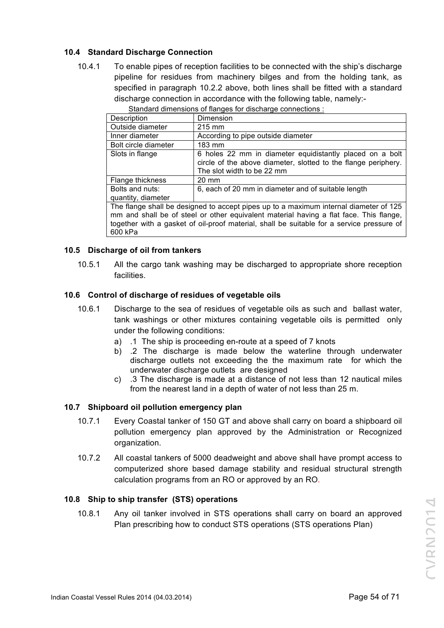# **10.4 Standard Discharge Connection**

10.4.1 To enable pipes of reception facilities to be connected with the ship's discharge pipeline for residues from machinery bilges and from the holding tank, as specified in paragraph 10.2.2 above, both lines shall be fitted with a standard discharge connection in accordance with the following table, namely:-

| Description          | Dimension                                                                                                                                                |
|----------------------|----------------------------------------------------------------------------------------------------------------------------------------------------------|
| Outside diameter     | 215 mm                                                                                                                                                   |
| Inner diameter       | According to pipe outside diameter                                                                                                                       |
| Bolt circle diameter | 183 mm                                                                                                                                                   |
| Slots in flange      | 6 holes 22 mm in diameter equidistantly placed on a bolt<br>circle of the above diameter, slotted to the flange periphery.<br>The slot width to be 22 mm |
| Flange thickness     | $20 \text{ mm}$                                                                                                                                          |
| Bolts and nuts:      | 6, each of 20 mm in diameter and of suitable length                                                                                                      |
| quantity, diameter   |                                                                                                                                                          |
|                      | The flower shall be declared to concentrate on the concentration integral discussion of 40F.                                                             |

Standard dimensions of flanges for discharge connections :

The flange shall be designed to accept pipes up to a maximum internal diameter of 125 mm and shall be of steel or other equivalent material having a flat face. This flange, together with a gasket of oil-proof material, shall be suitable for a service pressure of 600 kPa

## **10.5 Discharge of oil from tankers**

10.5.1 All the cargo tank washing may be discharged to appropriate shore reception facilities.

## **10.6 Control of discharge of residues of vegetable oils**

- 10.6.1 Discharge to the sea of residues of vegetable oils as such and ballast water, tank washings or other mixtures containing vegetable oils is permitted only under the following conditions:
	- a) .1 The ship is proceeding en-route at a speed of 7 knots
	- b) .2 The discharge is made below the waterline through underwater discharge outlets not exceeding the the maximum rate for which the underwater discharge outlets are designed
	- c) .3 The discharge is made at a distance of not less than 12 nautical miles from the nearest land in a depth of water of not less than 25 m.

## **10.7 Shipboard oil pollution emergency plan**

- 10.7.1 Every Coastal tanker of 150 GT and above shall carry on board a shipboard oil pollution emergency plan approved by the Administration or Recognized organization.
- 10.7.2 All coastal tankers of 5000 deadweight and above shall have prompt access to computerized shore based damage stability and residual structural strength calculation programs from an RO or approved by an RO.

#### **10.8 Ship to ship transfer (STS) operations**

10.8.1 Any oil tanker involved in STS operations shall carry on board an approved Plan prescribing how to conduct STS operations (STS operations Plan)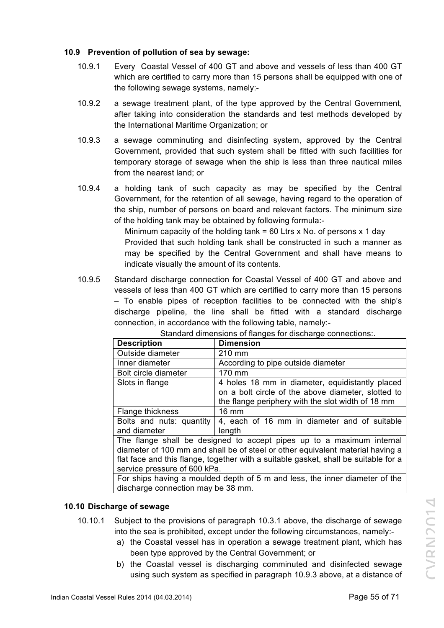# **10.9 Prevention of pollution of sea by sewage:**

- 10.9.1 Every Coastal Vessel of 400 GT and above and vessels of less than 400 GT which are certified to carry more than 15 persons shall be equipped with one of the following sewage systems, namely:-
- 10.9.2 a sewage treatment plant, of the type approved by the Central Government, after taking into consideration the standards and test methods developed by the International Maritime Organization; or
- 10.9.3 a sewage comminuting and disinfecting system, approved by the Central Government, provided that such system shall be fitted with such facilities for temporary storage of sewage when the ship is less than three nautical miles from the nearest land; or
- 10.9.4 a holding tank of such capacity as may be specified by the Central Government, for the retention of all sewage, having regard to the operation of the ship, number of persons on board and relevant factors. The minimum size of the holding tank may be obtained by following formula:-

Minimum capacity of the holding tank = 60 Ltrs x No. of persons  $x$  1 day Provided that such holding tank shall be constructed in such a manner as may be specified by the Central Government and shall have means to indicate visually the amount of its contents.

10.9.5 Standard discharge connection for Coastal Vessel of 400 GT and above and vessels of less than 400 GT which are certified to carry more than 15 persons – To enable pipes of reception facilities to be connected with the ship's discharge pipeline, the line shall be fitted with a standard discharge connection, in accordance with the following table, namely:-

| <b>Description</b>                                                                  | <u>standard amnonomo or nangoo ior aloonargo oomnootiono</u><br><b>Dimension</b> |  |  |
|-------------------------------------------------------------------------------------|----------------------------------------------------------------------------------|--|--|
| Outside diameter                                                                    | 210 mm                                                                           |  |  |
| Inner diameter                                                                      | According to pipe outside diameter                                               |  |  |
| Bolt circle diameter                                                                | 170 mm                                                                           |  |  |
| Slots in flange                                                                     | 4 holes 18 mm in diameter, equidistantly placed                                  |  |  |
|                                                                                     | on a bolt circle of the above diameter, slotted to                               |  |  |
|                                                                                     | the flange periphery with the slot width of 18 mm                                |  |  |
| Flange thickness                                                                    | 16 mm                                                                            |  |  |
| Bolts and nuts: quantity                                                            | 4, each of 16 mm in diameter and of suitable                                     |  |  |
| and diameter                                                                        | length                                                                           |  |  |
| The flange shall be designed to accept pipes up to a maximum internal               |                                                                                  |  |  |
| diameter of 100 mm and shall be of steel or other equivalent material having a      |                                                                                  |  |  |
| flat face and this flange, together with a suitable gasket, shall be suitable for a |                                                                                  |  |  |
| service pressure of 600 kPa.                                                        |                                                                                  |  |  |
| For ships having a moulded depth of 5 m and less, the inner diameter of the         |                                                                                  |  |  |
| discharge connection may be 38 mm.                                                  |                                                                                  |  |  |

Standard dimensions of flanges for discharge connections:

## **10.10 Discharge of sewage**

- 10.10.1 Subject to the provisions of paragraph 10.3.1 above, the discharge of sewage into the sea is prohibited, except under the following circumstances, namely:
	- a) the Coastal vessel has in operation a sewage treatment plant, which has been type approved by the Central Government; or
	- b) the Coastal vessel is discharging comminuted and disinfected sewage using such system as specified in paragraph 10.9.3 above, at a distance of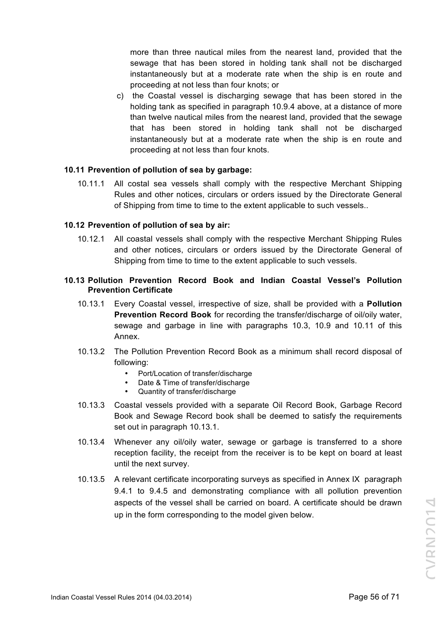more than three nautical miles from the nearest land, provided that the sewage that has been stored in holding tank shall not be discharged instantaneously but at a moderate rate when the ship is en route and proceeding at not less than four knots; or

c) the Coastal vessel is discharging sewage that has been stored in the holding tank as specified in paragraph 10.9.4 above, at a distance of more than twelve nautical miles from the nearest land, provided that the sewage that has been stored in holding tank shall not be discharged instantaneously but at a moderate rate when the ship is en route and proceeding at not less than four knots.

#### **10.11 Prevention of pollution of sea by garbage:**

10.11.1 All costal sea vessels shall comply with the respective Merchant Shipping Rules and other notices, circulars or orders issued by the Directorate General of Shipping from time to time to the extent applicable to such vessels..

#### **10.12 Prevention of pollution of sea by air:**

10.12.1 All coastal vessels shall comply with the respective Merchant Shipping Rules and other notices, circulars or orders issued by the Directorate General of Shipping from time to time to the extent applicable to such vessels.

#### **10.13 Pollution Prevention Record Book and Indian Coastal Vessel's Pollution Prevention Certificate**

- 10.13.1 Every Coastal vessel, irrespective of size, shall be provided with a **Pollution Prevention Record Book** for recording the transfer/discharge of oil/oily water, sewage and garbage in line with paragraphs 10.3, 10.9 and 10.11 of this Annex.
- 10.13.2 The Pollution Prevention Record Book as a minimum shall record disposal of following:
	- Port/Location of transfer/discharge
	- Date & Time of transfer/discharge
	- Quantity of transfer/discharge
- 10.13.3 Coastal vessels provided with a separate Oil Record Book, Garbage Record Book and Sewage Record book shall be deemed to satisfy the requirements set out in paragraph 10.13.1.
- 10.13.4 Whenever any oil/oily water, sewage or garbage is transferred to a shore reception facility, the receipt from the receiver is to be kept on board at least until the next survey.
- 10.13.5 A relevant certificate incorporating surveys as specified in Annex IX paragraph 9.4.1 to 9.4.5 and demonstrating compliance with all pollution prevention aspects of the vessel shall be carried on board. A certificate should be drawn up in the form corresponding to the model given below.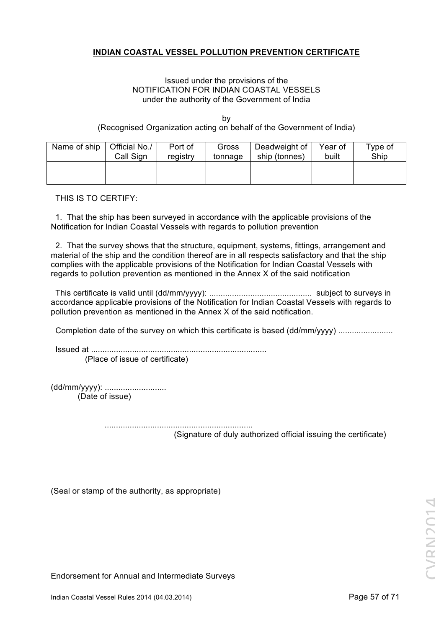# **INDIAN COASTAL VESSEL POLLUTION PREVENTION CERTIFICATE**

#### Issued under the provisions of the NOTIFICATION FOR INDIAN COASTAL VESSELS under the authority of the Government of India

by (Recognised Organization acting on behalf of the Government of India)

| Name of ship | Official No./ | Port of  | Gross   | Deadweight of | Year of | Type of |
|--------------|---------------|----------|---------|---------------|---------|---------|
|              | Call Sign     | registry | tonnage | ship (tonnes) | built   | Ship    |
|              |               |          |         |               |         |         |

THIS IS TO CERTIFY:

 1. That the ship has been surveyed in accordance with the applicable provisions of the Notification for Indian Coastal Vessels with regards to pollution prevention

 2. That the survey shows that the structure, equipment, systems, fittings, arrangement and material of the ship and the condition thereof are in all respects satisfactory and that the ship complies with the applicable provisions of the Notification for Indian Coastal Vessels with regards to pollution prevention as mentioned in the Annex X of the said notification

 This certificate is valid until (dd/mm/yyyy): ............................................. subject to surveys in accordance applicable provisions of the Notification for Indian Coastal Vessels with regards to pollution prevention as mentioned in the Annex X of the said notification.

Completion date of the survey on which this certificate is based (dd/mm/yyyy) ................................

Issued at .............................................................................

(Place of issue of certificate)

(dd/mm/yyyy): ........................... (Date of issue)

> ................................................................. (Signature of duly authorized official issuing the certificate)

(Seal or stamp of the authority, as appropriate)

Endorsement for Annual and Intermediate Surveys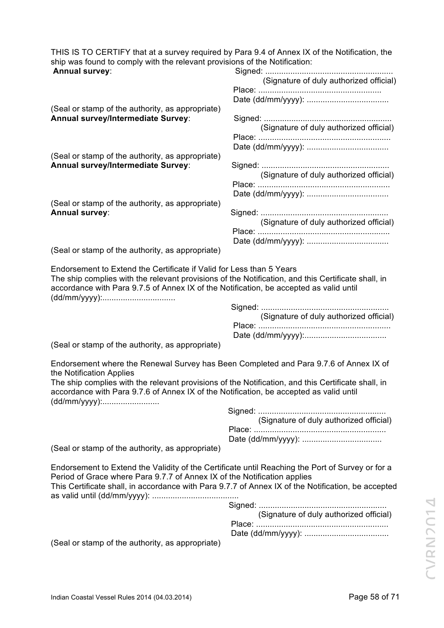THIS IS TO CERTIFY that at a survey required by Para 9.4 of Annex IX of the Notification, the ship was found to comply with the relevant provisions of the Notification:

| ship was found to comply with the relevant provisions of the Notification:                                                                                                                                                                                                         |                                         |
|------------------------------------------------------------------------------------------------------------------------------------------------------------------------------------------------------------------------------------------------------------------------------------|-----------------------------------------|
| <b>Annual survey:</b>                                                                                                                                                                                                                                                              | (Signature of duly authorized official) |
|                                                                                                                                                                                                                                                                                    |                                         |
|                                                                                                                                                                                                                                                                                    |                                         |
| (Seal or stamp of the authority, as appropriate)<br>Annual survey/Intermediate Survey:                                                                                                                                                                                             |                                         |
|                                                                                                                                                                                                                                                                                    | (Signature of duly authorized official) |
|                                                                                                                                                                                                                                                                                    |                                         |
| (Seal or stamp of the authority, as appropriate)                                                                                                                                                                                                                                   |                                         |
| Annual survey/Intermediate Survey:                                                                                                                                                                                                                                                 |                                         |
|                                                                                                                                                                                                                                                                                    | (Signature of duly authorized official) |
|                                                                                                                                                                                                                                                                                    |                                         |
| (Seal or stamp of the authority, as appropriate)                                                                                                                                                                                                                                   |                                         |
| <b>Annual survey:</b>                                                                                                                                                                                                                                                              |                                         |
|                                                                                                                                                                                                                                                                                    | (Signature of duly authorized official) |
|                                                                                                                                                                                                                                                                                    |                                         |
| (Seal or stamp of the authority, as appropriate)                                                                                                                                                                                                                                   |                                         |
| The ship complies with the relevant provisions of the Notification, and this Certificate shall, in<br>accordance with Para 9.7.5 of Annex IX of the Notification, be accepted as valid until                                                                                       |                                         |
|                                                                                                                                                                                                                                                                                    |                                         |
|                                                                                                                                                                                                                                                                                    | (Signature of duly authorized official) |
|                                                                                                                                                                                                                                                                                    |                                         |
| (Seal or stamp of the authority, as appropriate)                                                                                                                                                                                                                                   |                                         |
| Endorsement where the Renewal Survey has Been Completed and Para 9.7.6 of Annex IX of<br>the Notification Applies                                                                                                                                                                  |                                         |
| The ship complies with the relevant provisions of the Notification, and this Certificate shall, in<br>accordance with Para 9.7.6 of Annex IX of the Notification, be accepted as valid until                                                                                       |                                         |
|                                                                                                                                                                                                                                                                                    |                                         |
|                                                                                                                                                                                                                                                                                    | (Signature of duly authorized official) |
|                                                                                                                                                                                                                                                                                    |                                         |
| (Seal or stamp of the authority, as appropriate)                                                                                                                                                                                                                                   |                                         |
| Endorsement to Extend the Validity of the Certificate until Reaching the Port of Survey or for a<br>Period of Grace where Para 9.7.7 of Annex IX of the Notification applies<br>This Certificate shall, in accordance with Para 9.7.7 of Annex IX of the Notification, be accepted |                                         |
|                                                                                                                                                                                                                                                                                    |                                         |
|                                                                                                                                                                                                                                                                                    | (Signature of duly authorized official) |
|                                                                                                                                                                                                                                                                                    |                                         |

Date (dd/mm/yyyy): .....................................

(Seal or stamp of the authority, as appropriate)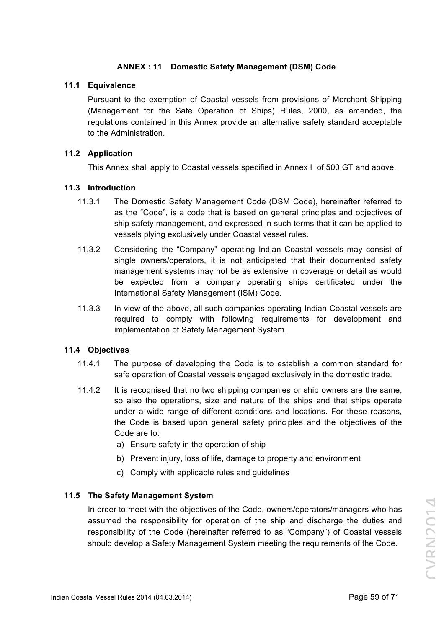# **ANNEX : 11 Domestic Safety Management (DSM) Code**

#### **11.1 Equivalence**

Pursuant to the exemption of Coastal vessels from provisions of Merchant Shipping (Management for the Safe Operation of Ships) Rules, 2000, as amended, the regulations contained in this Annex provide an alternative safety standard acceptable to the Administration.

#### **11.2 Application**

This Annex shall apply to Coastal vessels specified in Annex I of 500 GT and above.

#### **11.3 Introduction**

- 11.3.1 The Domestic Safety Management Code (DSM Code), hereinafter referred to as the "Code", is a code that is based on general principles and objectives of ship safety management, and expressed in such terms that it can be applied to vessels plying exclusively under Coastal vessel rules.
- 11.3.2 Considering the "Company" operating Indian Coastal vessels may consist of single owners/operators, it is not anticipated that their documented safety management systems may not be as extensive in coverage or detail as would be expected from a company operating ships certificated under the International Safety Management (ISM) Code.
- 11.3.3 In view of the above, all such companies operating Indian Coastal vessels are required to comply with following requirements for development and implementation of Safety Management System.

#### **11.4 Objectives**

- 11.4.1 The purpose of developing the Code is to establish a common standard for safe operation of Coastal vessels engaged exclusively in the domestic trade.
- 11.4.2 It is recognised that no two shipping companies or ship owners are the same, so also the operations, size and nature of the ships and that ships operate under a wide range of different conditions and locations. For these reasons, the Code is based upon general safety principles and the objectives of the Code are to:
	- a) Ensure safety in the operation of ship
	- b) Prevent injury, loss of life, damage to property and environment
	- c) Comply with applicable rules and guidelines

## **11.5 The Safety Management System**

In order to meet with the objectives of the Code, owners/operators/managers who has assumed the responsibility for operation of the ship and discharge the duties and responsibility of the Code (hereinafter referred to as "Company") of Coastal vessels should develop a Safety Management System meeting the requirements of the Code.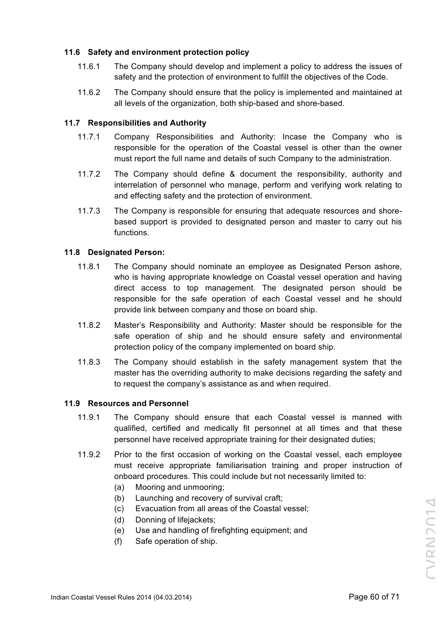# **11.6 Safety and environment protection policy**

- 11.6.1 The Company should develop and implement a policy to address the issues of safety and the protection of environment to fulfill the objectives of the Code.
- 11.6.2 The Company should ensure that the policy is implemented and maintained at all levels of the organization, both ship-based and shore-based.

## **11.7 Responsibilities and Authority**

- 11.7.1 Company Responsibilities and Authority: Incase the Company who is responsible for the operation of the Coastal vessel is other than the owner must report the full name and details of such Company to the administration.
- 11.7.2 The Company should define & document the responsibility, authority and interrelation of personnel who manage, perform and verifying work relating to and effecting safety and the protection of environment.
- 11.7.3 The Company is responsible for ensuring that adequate resources and shorebased support is provided to designated person and master to carry out his functions.

# **11.8 Designated Person:**

- 11.8.1 The Company should nominate an employee as Designated Person ashore, who is having appropriate knowledge on Coastal vessel operation and having direct access to top management. The designated person should be responsible for the safe operation of each Coastal vessel and he should provide link between company and those on board ship.
- 11.8.2 Master's Responsibility and Authority: Master should be responsible for the safe operation of ship and he should ensure safety and environmental protection policy of the company implemented on board ship.
- 11.8.3 The Company should establish in the safety management system that the master has the overriding authority to make decisions regarding the safety and to request the company's assistance as and when required.

## **11.9 Resources and Personnel**

- 11.9.1 The Company should ensure that each Coastal vessel is manned with qualified, certified and medically fit personnel at all times and that these personnel have received appropriate training for their designated duties;
- 11.9.2 Prior to the first occasion of working on the Coastal vessel, each employee must receive appropriate familiarisation training and proper instruction of onboard procedures. This could include but not necessarily limited to:
	- (a) Mooring and unmooring;
	- (b) Launching and recovery of survival craft;
	- (c) Evacuation from all areas of the Coastal vessel;
	- (d) Donning of lifejackets;
	- (e) Use and handling of firefighting equipment; and
	- (f) Safe operation of ship.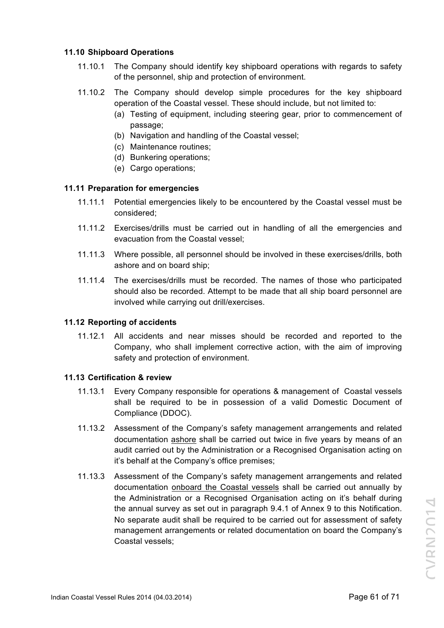# **11.10 Shipboard Operations**

- 11.10.1 The Company should identify key shipboard operations with regards to safety of the personnel, ship and protection of environment.
- 11.10.2 The Company should develop simple procedures for the key shipboard operation of the Coastal vessel. These should include, but not limited to:
	- (a) Testing of equipment, including steering gear, prior to commencement of passage;
	- (b) Navigation and handling of the Coastal vessel;
	- (c) Maintenance routines;
	- (d) Bunkering operations;
	- (e) Cargo operations;

## **11.11 Preparation for emergencies**

- 11.11.1 Potential emergencies likely to be encountered by the Coastal vessel must be considered;
- 11.11.2 Exercises/drills must be carried out in handling of all the emergencies and evacuation from the Coastal vessel;
- 11.11.3 Where possible, all personnel should be involved in these exercises/drills, both ashore and on board ship;
- 11.11.4 The exercises/drills must be recorded. The names of those who participated should also be recorded. Attempt to be made that all ship board personnel are involved while carrying out drill/exercises.

## **11.12 Reporting of accidents**

11.12.1 All accidents and near misses should be recorded and reported to the Company, who shall implement corrective action, with the aim of improving safety and protection of environment.

## **11.13 Certification & review**

- 11.13.1 Every Company responsible for operations & management of Coastal vessels shall be required to be in possession of a valid Domestic Document of Compliance (DDOC).
- 11.13.2 Assessment of the Company's safety management arrangements and related documentation ashore shall be carried out twice in five years by means of an audit carried out by the Administration or a Recognised Organisation acting on it's behalf at the Company's office premises;
- 11.13.3 Assessment of the Company's safety management arrangements and related documentation onboard the Coastal vessels shall be carried out annually by the Administration or a Recognised Organisation acting on it's behalf during the annual survey as set out in paragraph 9.4.1 of Annex 9 to this Notification. No separate audit shall be required to be carried out for assessment of safety management arrangements or related documentation on board the Company's Coastal vessels;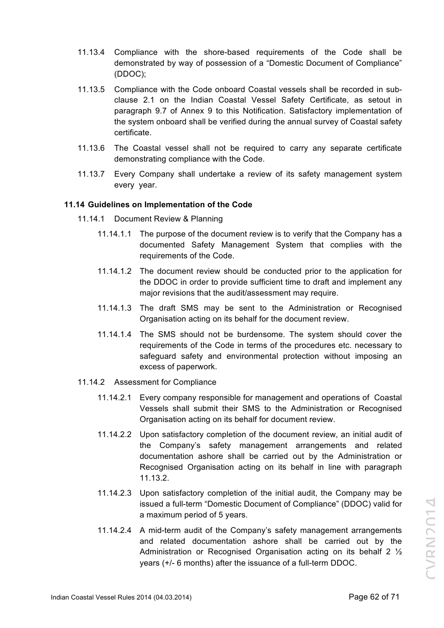- 11.13.4 Compliance with the shore-based requirements of the Code shall be demonstrated by way of possession of a "Domestic Document of Compliance" (DDOC);
- 11.13.5 Compliance with the Code onboard Coastal vessels shall be recorded in subclause 2.1 on the Indian Coastal Vessel Safety Certificate, as setout in paragraph 9.7 of Annex 9 to this Notification. Satisfactory implementation of the system onboard shall be verified during the annual survey of Coastal safety certificate.
- 11.13.6 The Coastal vessel shall not be required to carry any separate certificate demonstrating compliance with the Code.
- 11.13.7 Every Company shall undertake a review of its safety management system every year.

#### **11.14 Guidelines on Implementation of the Code**

- 11.14.1 Document Review & Planning
	- 11.14.1.1 The purpose of the document review is to verify that the Company has a documented Safety Management System that complies with the requirements of the Code.
	- 11.14.1.2 The document review should be conducted prior to the application for the DDOC in order to provide sufficient time to draft and implement any major revisions that the audit/assessment may require.
	- 11.14.1.3 The draft SMS may be sent to the Administration or Recognised Organisation acting on its behalf for the document review.
	- 11.14.1.4 The SMS should not be burdensome. The system should cover the requirements of the Code in terms of the procedures etc. necessary to safeguard safety and environmental protection without imposing an excess of paperwork.
- 11.14.2 Assessment for Compliance
	- 11.14.2.1 Every company responsible for management and operations of Coastal Vessels shall submit their SMS to the Administration or Recognised Organisation acting on its behalf for document review.
	- 11.14.2.2 Upon satisfactory completion of the document review, an initial audit of the Company's safety management arrangements and related documentation ashore shall be carried out by the Administration or Recognised Organisation acting on its behalf in line with paragraph 11.13.2.
	- 11.14.2.3 Upon satisfactory completion of the initial audit, the Company may be issued a full-term "Domestic Document of Compliance" (DDOC) valid for a maximum period of 5 years.
	- 11.14.2.4 A mid-term audit of the Company's safety management arrangements and related documentation ashore shall be carried out by the Administration or Recognised Organisation acting on its behalf 2 ½ years (+/- 6 months) after the issuance of a full-term DDOC.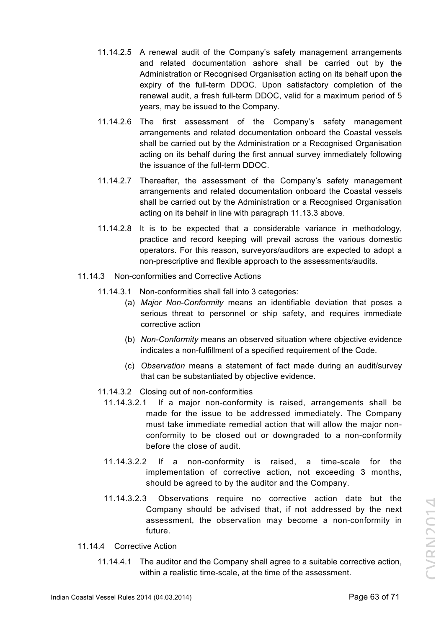- 11.14.2.5 A renewal audit of the Company's safety management arrangements and related documentation ashore shall be carried out by the Administration or Recognised Organisation acting on its behalf upon the expiry of the full-term DDOC. Upon satisfactory completion of the renewal audit, a fresh full-term DDOC, valid for a maximum period of 5 years, may be issued to the Company.
- 11.14.2.6 The first assessment of the Company's safety management arrangements and related documentation onboard the Coastal vessels shall be carried out by the Administration or a Recognised Organisation acting on its behalf during the first annual survey immediately following the issuance of the full-term DDOC.
- 11.14.2.7 Thereafter, the assessment of the Company's safety management arrangements and related documentation onboard the Coastal vessels shall be carried out by the Administration or a Recognised Organisation acting on its behalf in line with paragraph 11.13.3 above.
- 11.14.2.8 It is to be expected that a considerable variance in methodology, practice and record keeping will prevail across the various domestic operators. For this reason, surveyors/auditors are expected to adopt a non-prescriptive and flexible approach to the assessments/audits.
- 11.14.3 Non-conformities and Corrective Actions
	- 11.14.3.1 Non-conformities shall fall into 3 categories:
		- (a) *Major Non-Conformity* means an identifiable deviation that poses a serious threat to personnel or ship safety, and requires immediate corrective action
		- (b) *Non-Conformity* means an observed situation where objective evidence indicates a non-fulfillment of a specified requirement of the Code.
		- (c) *Observation* means a statement of fact made during an audit/survey that can be substantiated by objective evidence.
	- 11.14.3.2 Closing out of non-conformities
		- 11.14.3.2.1 If a major non-conformity is raised, arrangements shall be made for the issue to be addressed immediately. The Company must take immediate remedial action that will allow the major nonconformity to be closed out or downgraded to a non-conformity before the close of audit.
		- 11.14.3.2.2 If a non-conformity is raised, a time-scale for the implementation of corrective action, not exceeding 3 months, should be agreed to by the auditor and the Company.
		- 11.14.3.2.3 Observations require no corrective action date but the Company should be advised that, if not addressed by the next assessment, the observation may become a non-conformity in future.
- 11.14.4 Corrective Action
	- 11.14.4.1 The auditor and the Company shall agree to a suitable corrective action, within a realistic time-scale, at the time of the assessment.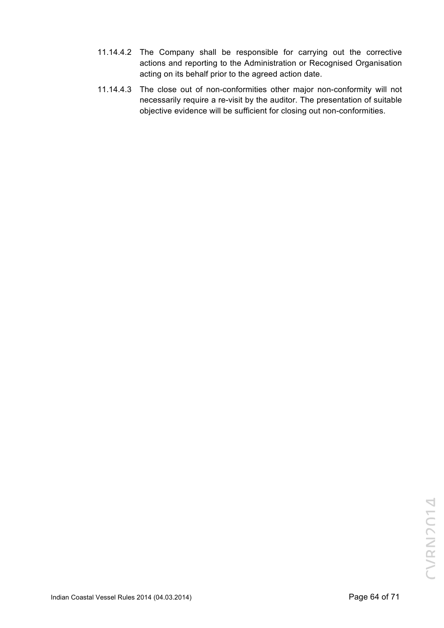- 11.14.4.2 The Company shall be responsible for carrying out the corrective actions and reporting to the Administration or Recognised Organisation acting on its behalf prior to the agreed action date.
- 11.14.4.3 The close out of non-conformities other major non-conformity will not necessarily require a re-visit by the auditor. The presentation of suitable objective evidence will be sufficient for closing out non-conformities.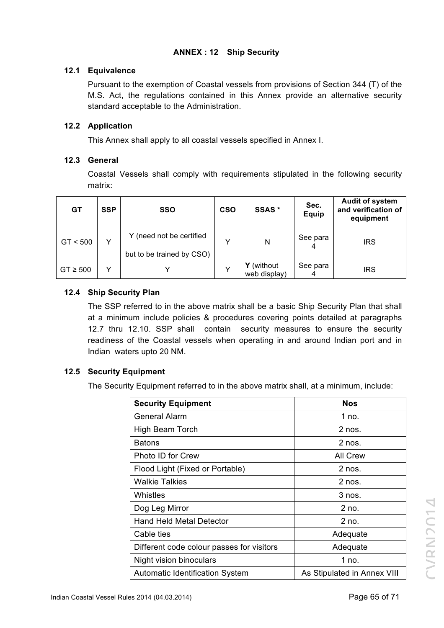# **ANNEX : 12 Ship Security**

# **12.1 Equivalence**

Pursuant to the exemption of Coastal vessels from provisions of Section 344 (T) of the M.S. Act, the regulations contained in this Annex provide an alternative security standard acceptable to the Administration.

## **12.2 Application**

This Annex shall apply to all coastal vessels specified in Annex I.

# **12.3 General**

Coastal Vessels shall comply with requirements stipulated in the following security matrix:

| <b>GT</b>    | <b>SSP</b> | <b>SSO</b>                                            | <b>CSO</b>   | SSAS <sup>*</sup>          | Sec.<br><b>Equip</b> | <b>Audit of system</b><br>and verification of<br>equipment |
|--------------|------------|-------------------------------------------------------|--------------|----------------------------|----------------------|------------------------------------------------------------|
| GT < 500     | Y          | Y (need not be certified<br>but to be trained by CSO) | $\checkmark$ | N                          | See para             | <b>IRS</b>                                                 |
| $GT \ge 500$ | v          |                                                       |              | Y (without<br>web display) | See para             | <b>IRS</b>                                                 |

# **12.4 Ship Security Plan**

The SSP referred to in the above matrix shall be a basic Ship Security Plan that shall at a minimum include policies & procedures covering points detailed at paragraphs 12.7 thru 12.10. SSP shall contain security measures to ensure the security readiness of the Coastal vessels when operating in and around Indian port and in Indian waters upto 20 NM.

## **12.5 Security Equipment**

The Security Equipment referred to in the above matrix shall, at a minimum, include:

| <b>Security Equipment</b>                 | <b>Nos</b>                  |  |  |
|-------------------------------------------|-----------------------------|--|--|
| General Alarm                             | 1 no.                       |  |  |
| High Beam Torch                           | $2$ nos.                    |  |  |
| <b>Batons</b>                             | $2$ nos.                    |  |  |
| Photo ID for Crew                         | <b>All Crew</b>             |  |  |
| Flood Light (Fixed or Portable)           | $2$ nos.                    |  |  |
| <b>Walkie Talkies</b>                     | $2$ nos.                    |  |  |
| Whistles                                  | $3$ nos.                    |  |  |
| Dog Leg Mirror                            | $2$ no.                     |  |  |
| <b>Hand Held Metal Detector</b>           | $2$ no.                     |  |  |
| Cable ties                                | Adequate                    |  |  |
| Different code colour passes for visitors | Adequate                    |  |  |
| Night vision binoculars                   | 1 no.                       |  |  |
| <b>Automatic Identification System</b>    | As Stipulated in Annex VIII |  |  |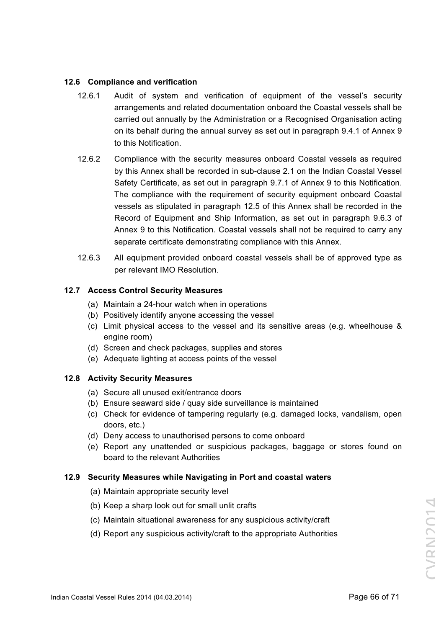## **12.6 Compliance and verification**

- 12.6.1 Audit of system and verification of equipment of the vessel's security arrangements and related documentation onboard the Coastal vessels shall be carried out annually by the Administration or a Recognised Organisation acting on its behalf during the annual survey as set out in paragraph 9.4.1 of Annex 9 to this Notification.
- 12.6.2 Compliance with the security measures onboard Coastal vessels as required by this Annex shall be recorded in sub-clause 2.1 on the Indian Coastal Vessel Safety Certificate, as set out in paragraph 9.7.1 of Annex 9 to this Notification. The compliance with the requirement of security equipment onboard Coastal vessels as stipulated in paragraph 12.5 of this Annex shall be recorded in the Record of Equipment and Ship Information, as set out in paragraph 9.6.3 of Annex 9 to this Notification. Coastal vessels shall not be required to carry any separate certificate demonstrating compliance with this Annex.
- 12.6.3 All equipment provided onboard coastal vessels shall be of approved type as per relevant IMO Resolution.

## **12.7 Access Control Security Measures**

- (a) Maintain a 24-hour watch when in operations
- (b) Positively identify anyone accessing the vessel
- (c) Limit physical access to the vessel and its sensitive areas (e.g. wheelhouse & engine room)
- (d) Screen and check packages, supplies and stores
- (e) Adequate lighting at access points of the vessel

## **12.8 Activity Security Measures**

- (a) Secure all unused exit/entrance doors
- (b) Ensure seaward side / quay side surveillance is maintained
- (c) Check for evidence of tampering regularly (e.g. damaged locks, vandalism, open doors, etc.)
- (d) Deny access to unauthorised persons to come onboard
- (e) Report any unattended or suspicious packages, baggage or stores found on board to the relevant Authorities

## **12.9 Security Measures while Navigating in Port and coastal waters**

- (a) Maintain appropriate security level
- (b) Keep a sharp look out for small unlit crafts
- (c) Maintain situational awareness for any suspicious activity/craft
- (d) Report any suspicious activity/craft to the appropriate Authorities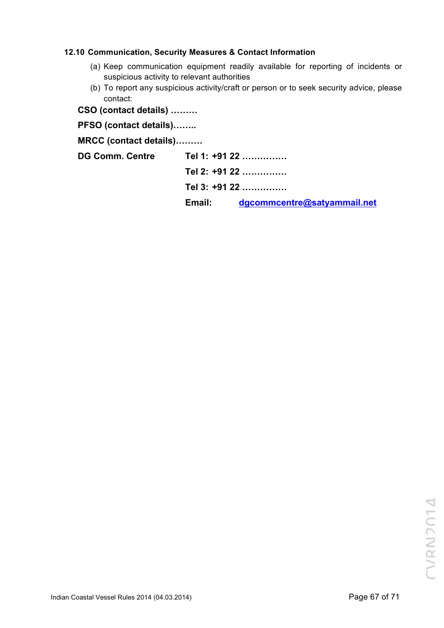## **12.10 Communication, Security Measures & Contact Information**

- (a) Keep communication equipment readily available for reporting of incidents or suspicious activity to relevant authorities
- (b) To report any suspicious activity/craft or person or to seek security advice, please contact:
- **CSO (contact details) ………**

**PFSO (contact details)……..**

**MRCC (contact details)………**

**DG Comm. Centre Tel 1: +91 22 ……………**

**Tel 2: +91 22 ……………**

**Tel 3: +91 22 ……………**

**Email: dgcommcentre@satyammail.net**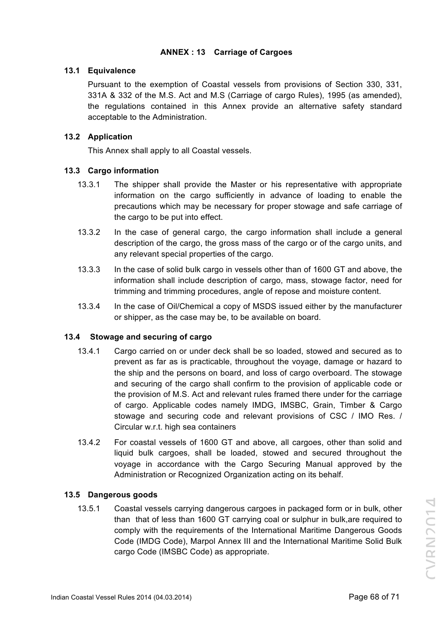# **ANNEX : 13 Carriage of Cargoes**

#### **13.1 Equivalence**

Pursuant to the exemption of Coastal vessels from provisions of Section 330, 331, 331A & 332 of the M.S. Act and M.S (Carriage of cargo Rules), 1995 (as amended), the regulations contained in this Annex provide an alternative safety standard acceptable to the Administration.

## **13.2 Application**

This Annex shall apply to all Coastal vessels.

# **13.3 Cargo information**

- 13.3.1 The shipper shall provide the Master or his representative with appropriate information on the cargo sufficiently in advance of loading to enable the precautions which may be necessary for proper stowage and safe carriage of the cargo to be put into effect.
- 13.3.2 In the case of general cargo, the cargo information shall include a general description of the cargo, the gross mass of the cargo or of the cargo units, and any relevant special properties of the cargo.
- 13.3.3 In the case of solid bulk cargo in vessels other than of 1600 GT and above, the information shall include description of cargo, mass, stowage factor, need for trimming and trimming procedures, angle of repose and moisture content.
- 13.3.4 In the case of Oil/Chemical a copy of MSDS issued either by the manufacturer or shipper, as the case may be, to be available on board.

## **13.4 Stowage and securing of cargo**

- 13.4.1 Cargo carried on or under deck shall be so loaded, stowed and secured as to prevent as far as is practicable, throughout the voyage, damage or hazard to the ship and the persons on board, and loss of cargo overboard. The stowage and securing of the cargo shall confirm to the provision of applicable code or the provision of M.S. Act and relevant rules framed there under for the carriage of cargo. Applicable codes namely IMDG, IMSBC, Grain, Timber & Cargo stowage and securing code and relevant provisions of CSC / IMO Res. / Circular w.r.t. high sea containers
- 13.4.2 For coastal vessels of 1600 GT and above, all cargoes, other than solid and liquid bulk cargoes, shall be loaded, stowed and secured throughout the voyage in accordance with the Cargo Securing Manual approved by the Administration or Recognized Organization acting on its behalf.

## **13.5 Dangerous goods**

13.5.1 Coastal vessels carrying dangerous cargoes in packaged form or in bulk, other than that of less than 1600 GT carrying coal or sulphur in bulk,are required to comply with the requirements of the International Maritime Dangerous Goods Code (IMDG Code), Marpol Annex III and the International Maritime Solid Bulk cargo Code (IMSBC Code) as appropriate.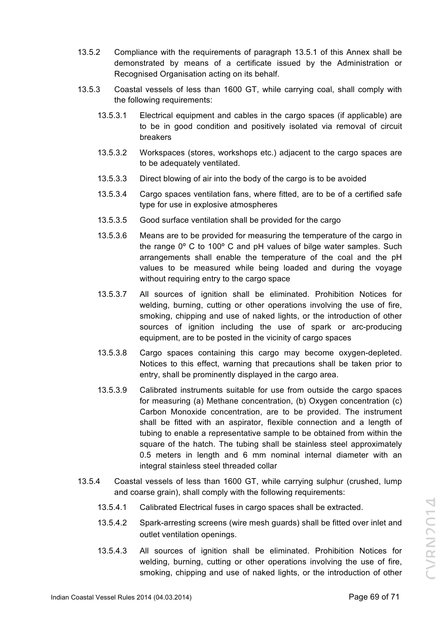- 13.5.2 Compliance with the requirements of paragraph 13.5.1 of this Annex shall be demonstrated by means of a certificate issued by the Administration or Recognised Organisation acting on its behalf.
- 13.5.3 Coastal vessels of less than 1600 GT, while carrying coal, shall comply with the following requirements:
	- 13.5.3.1 Electrical equipment and cables in the cargo spaces (if applicable) are to be in good condition and positively isolated via removal of circuit breakers
	- 13.5.3.2 Workspaces (stores, workshops etc.) adjacent to the cargo spaces are to be adequately ventilated.
	- 13.5.3.3 Direct blowing of air into the body of the cargo is to be avoided
	- 13.5.3.4 Cargo spaces ventilation fans, where fitted, are to be of a certified safe type for use in explosive atmospheres
	- 13.5.3.5 Good surface ventilation shall be provided for the cargo
	- 13.5.3.6 Means are to be provided for measuring the temperature of the cargo in the range 0º C to 100º C and pH values of bilge water samples. Such arrangements shall enable the temperature of the coal and the pH values to be measured while being loaded and during the voyage without requiring entry to the cargo space
	- 13.5.3.7 All sources of ignition shall be eliminated. Prohibition Notices for welding, burning, cutting or other operations involving the use of fire, smoking, chipping and use of naked lights, or the introduction of other sources of ignition including the use of spark or arc-producing equipment, are to be posted in the vicinity of cargo spaces
	- 13.5.3.8 Cargo spaces containing this cargo may become oxygen-depleted. Notices to this effect, warning that precautions shall be taken prior to entry, shall be prominently displayed in the cargo area.
	- 13.5.3.9 Calibrated instruments suitable for use from outside the cargo spaces for measuring (a) Methane concentration, (b) Oxygen concentration (c) Carbon Monoxide concentration, are to be provided. The instrument shall be fitted with an aspirator, flexible connection and a length of tubing to enable a representative sample to be obtained from within the square of the hatch. The tubing shall be stainless steel approximately 0.5 meters in length and 6 mm nominal internal diameter with an integral stainless steel threaded collar
- 13.5.4 Coastal vessels of less than 1600 GT, while carrying sulphur (crushed, lump and coarse grain), shall comply with the following requirements:
	- 13.5.4.1 Calibrated Electrical fuses in cargo spaces shall be extracted.
	- 13.5.4.2 Spark-arresting screens (wire mesh guards) shall be fitted over inlet and outlet ventilation openings.
	- 13.5.4.3 All sources of ignition shall be eliminated. Prohibition Notices for welding, burning, cutting or other operations involving the use of fire, smoking, chipping and use of naked lights, or the introduction of other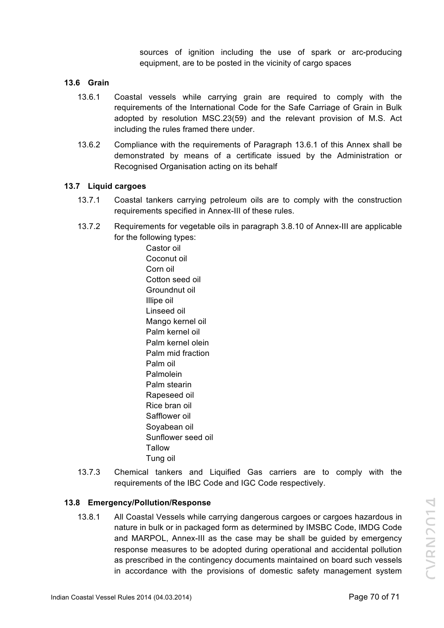sources of ignition including the use of spark or arc-producing equipment, are to be posted in the vicinity of cargo spaces

#### **13.6 Grain**

- 13.6.1 Coastal vessels while carrying grain are required to comply with the requirements of the International Code for the Safe Carriage of Grain in Bulk adopted by resolution MSC.23(59) and the relevant provision of M.S. Act including the rules framed there under.
- 13.6.2 Compliance with the requirements of Paragraph 13.6.1 of this Annex shall be demonstrated by means of a certificate issued by the Administration or Recognised Organisation acting on its behalf

#### **13.7 Liquid cargoes**

- 13.7.1 Coastal tankers carrying petroleum oils are to comply with the construction requirements specified in Annex-III of these rules.
- 13.7.2 Requirements for vegetable oils in paragraph 3.8.10 of Annex-III are applicable for the following types:

Castor oil Coconut oil Corn oil Cotton seed oil Groundnut oil Illipe oil Linseed oil Mango kernel oil Palm kernel oil Palm kernel olein Palm mid fraction Palm oil Palmolein Palm stearin Rapeseed oil Rice bran oil Safflower oil Soyabean oil Sunflower seed oil **Tallow** Tung oil

13.7.3 Chemical tankers and Liquified Gas carriers are to comply with the requirements of the IBC Code and IGC Code respectively.

#### **13.8 Emergency/Pollution/Response**

13.8.1 All Coastal Vessels while carrying dangerous cargoes or cargoes hazardous in nature in bulk or in packaged form as determined by IMSBC Code, IMDG Code and MARPOL, Annex-III as the case may be shall be guided by emergency response measures to be adopted during operational and accidental pollution as prescribed in the contingency documents maintained on board such vessels in accordance with the provisions of domestic safety management system